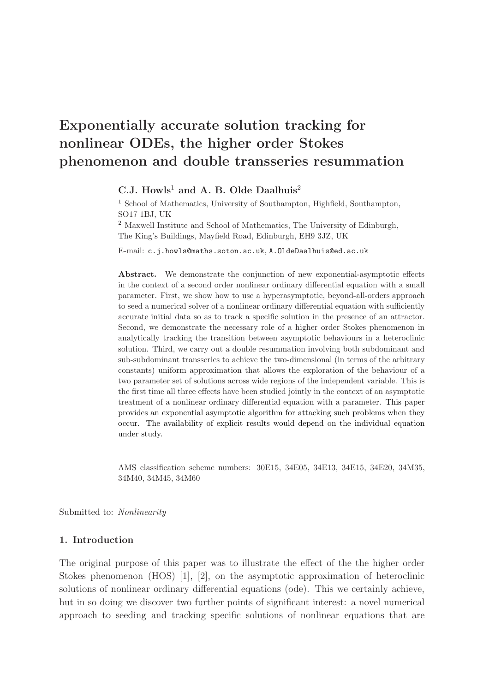# Exponentially accurate solution tracking for nonlinear ODEs, the higher order Stokes phenomenon and double transseries resummation

# C.J. Howls<sup>1</sup> and A. B. Olde Daalhuis<sup>2</sup>

<sup>1</sup> School of Mathematics, University of Southampton, Highfield, Southampton, SO17 1BJ, UK

<sup>2</sup> Maxwell Institute and School of Mathematics, The University of Edinburgh, The King's Buildings, Mayfield Road, Edinburgh, EH9 3JZ, UK

E-mail: c.j.howls@maths.soton.ac.uk, A.OldeDaalhuis@ed.ac.uk

Abstract. We demonstrate the conjunction of new exponential-asymptotic effects in the context of a second order nonlinear ordinary differential equation with a small parameter. First, we show how to use a hyperasymptotic, beyond-all-orders approach to seed a numerical solver of a nonlinear ordinary differential equation with sufficiently accurate initial data so as to track a specific solution in the presence of an attractor. Second, we demonstrate the necessary role of a higher order Stokes phenomenon in analytically tracking the transition between asymptotic behaviours in a heteroclinic solution. Third, we carry out a double resummation involving both subdominant and sub-subdominant transseries to achieve the two-dimensional (in terms of the arbitrary constants) uniform approximation that allows the exploration of the behaviour of a two parameter set of solutions across wide regions of the independent variable. This is the first time all three effects have been studied jointly in the context of an asymptotic treatment of a nonlinear ordinary differential equation with a parameter. This paper provides an exponential asymptotic algorithm for attacking such problems when they occur. The availability of explicit results would depend on the individual equation under study.

AMS classification scheme numbers: 30E15, 34E05, 34E13, 34E15, 34E20, 34M35, 34M40, 34M45, 34M60

Submitted to: Nonlinearity

# 1. Introduction

The original purpose of this paper was to illustrate the effect of the the higher order Stokes phenomenon (HOS) [1], [2], on the asymptotic approximation of heteroclinic solutions of nonlinear ordinary differential equations (ode). This we certainly achieve, but in so doing we discover two further points of significant interest: a novel numerical approach to seeding and tracking specific solutions of nonlinear equations that are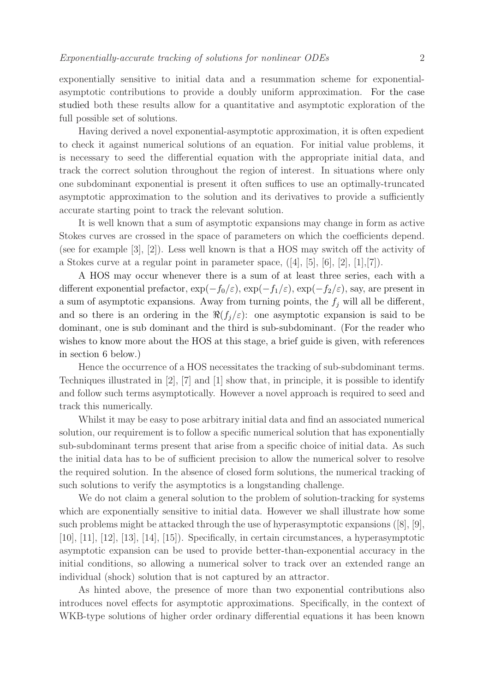exponentially sensitive to initial data and a resummation scheme for exponentialasymptotic contributions to provide a doubly uniform approximation. For the case studied both these results allow for a quantitative and asymptotic exploration of the full possible set of solutions.

Having derived a novel exponential-asymptotic approximation, it is often expedient to check it against numerical solutions of an equation. For initial value problems, it is necessary to seed the differential equation with the appropriate initial data, and track the correct solution throughout the region of interest. In situations where only one subdominant exponential is present it often suffices to use an optimally-truncated asymptotic approximation to the solution and its derivatives to provide a sufficiently accurate starting point to track the relevant solution.

It is well known that a sum of asymptotic expansions may change in form as active Stokes curves are crossed in the space of parameters on which the coefficients depend. (see for example [3], [2]). Less well known is that a HOS may switch off the activity of a Stokes curve at a regular point in parameter space,  $([4], [5], [6], [2], [1], [7])$ .

A HOS may occur whenever there is a sum of at least three series, each with a different exponential prefactor,  $\exp(-f_0/\varepsilon)$ ,  $\exp(-f_1/\varepsilon)$ ,  $\exp(-f_2/\varepsilon)$ , say, are present in a sum of asymptotic expansions. Away from turning points, the  $f_j$  will all be different, and so there is an ordering in the  $\Re(f_j/\varepsilon)$ : one asymptotic expansion is said to be dominant, one is sub dominant and the third is sub-subdominant. (For the reader who wishes to know more about the HOS at this stage, a brief guide is given, with references in section 6 below.)

Hence the occurrence of a HOS necessitates the tracking of sub-subdominant terms. Techniques illustrated in  $[2]$ ,  $[7]$  and  $[1]$  show that, in principle, it is possible to identify and follow such terms asymptotically. However a novel approach is required to seed and track this numerically.

Whilst it may be easy to pose arbitrary initial data and find an associated numerical solution, our requirement is to follow a specific numerical solution that has exponentially sub-subdominant terms present that arise from a specific choice of initial data. As such the initial data has to be of sufficient precision to allow the numerical solver to resolve the required solution. In the absence of closed form solutions, the numerical tracking of such solutions to verify the asymptotics is a longstanding challenge.

We do not claim a general solution to the problem of solution-tracking for systems which are exponentially sensitive to initial data. However we shall illustrate how some such problems might be attacked through the use of hyperasymptotic expansions ([8], [9], [10], [11], [12], [13], [14], [15]). Specifically, in certain circumstances, a hyperasymptotic asymptotic expansion can be used to provide better-than-exponential accuracy in the initial conditions, so allowing a numerical solver to track over an extended range an individual (shock) solution that is not captured by an attractor.

As hinted above, the presence of more than two exponential contributions also introduces novel effects for asymptotic approximations. Specifically, in the context of WKB-type solutions of higher order ordinary differential equations it has been known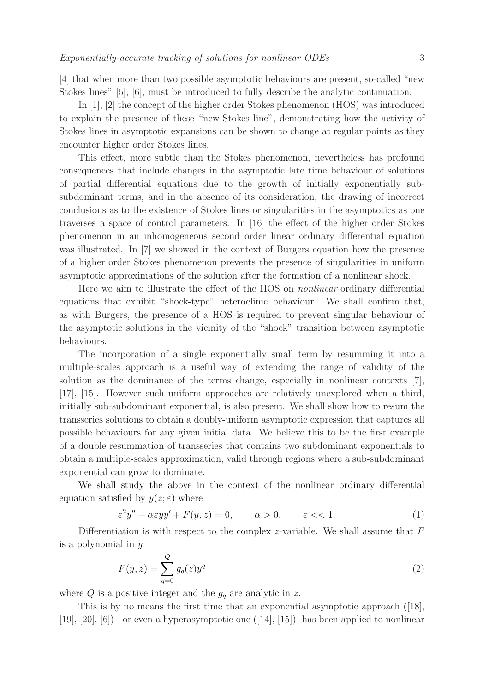[4] that when more than two possible asymptotic behaviours are present, so-called "new Stokes lines" [5], [6], must be introduced to fully describe the analytic continuation.

In [1], [2] the concept of the higher order Stokes phenomenon (HOS) was introduced to explain the presence of these "new-Stokes line", demonstrating how the activity of Stokes lines in asymptotic expansions can be shown to change at regular points as they encounter higher order Stokes lines.

This effect, more subtle than the Stokes phenomenon, nevertheless has profound consequences that include changes in the asymptotic late time behaviour of solutions of partial differential equations due to the growth of initially exponentially subsubdominant terms, and in the absence of its consideration, the drawing of incorrect conclusions as to the existence of Stokes lines or singularities in the asymptotics as one traverses a space of control parameters. In [16] the effect of the higher order Stokes phenomenon in an inhomogeneous second order linear ordinary differential equation was illustrated. In [7] we showed in the context of Burgers equation how the presence of a higher order Stokes phenomenon prevents the presence of singularities in uniform asymptotic approximations of the solution after the formation of a nonlinear shock.

Here we aim to illustrate the effect of the HOS on nonlinear ordinary differential equations that exhibit "shock-type" heteroclinic behaviour. We shall confirm that, as with Burgers, the presence of a HOS is required to prevent singular behaviour of the asymptotic solutions in the vicinity of the "shock" transition between asymptotic behaviours.

The incorporation of a single exponentially small term by resumming it into a multiple-scales approach is a useful way of extending the range of validity of the solution as the dominance of the terms change, especially in nonlinear contexts [7], [17], [15]. However such uniform approaches are relatively unexplored when a third, initially sub-subdominant exponential, is also present. We shall show how to resum the transseries solutions to obtain a doubly-uniform asymptotic expression that captures all possible behaviours for any given initial data. We believe this to be the first example of a double resummation of transseries that contains two subdominant exponentials to obtain a multiple-scales approximation, valid through regions where a sub-subdominant exponential can grow to dominate.

We shall study the above in the context of the nonlinear ordinary differential equation satisfied by  $y(z; \varepsilon)$  where

$$
\varepsilon^2 y'' - \alpha \varepsilon y y' + F(y, z) = 0, \qquad \alpha > 0, \qquad \varepsilon < 1.
$$
 (1)

Differentiation is with respect to the complex z-variable. We shall assume that  $F$ is a polynomial in y

$$
F(y, z) = \sum_{q=0}^{Q} g_q(z) y^q
$$
 (2)

where  $Q$  is a positive integer and the  $g_q$  are analytic in z.

This is by no means the first time that an exponential asymptotic approach ([18], [19],  $[20]$ ,  $[6]$  - or even a hyperasymptotic one  $([14], [15])$ - has been applied to nonlinear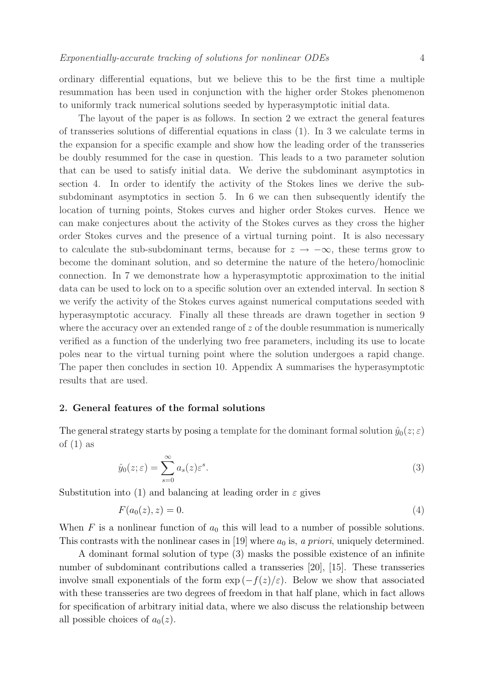ordinary differential equations, but we believe this to be the first time a multiple resummation has been used in conjunction with the higher order Stokes phenomenon to uniformly track numerical solutions seeded by hyperasymptotic initial data.

The layout of the paper is as follows. In section 2 we extract the general features of transseries solutions of differential equations in class (1). In 3 we calculate terms in the expansion for a specific example and show how the leading order of the transseries be doubly resummed for the case in question. This leads to a two parameter solution that can be used to satisfy initial data. We derive the subdominant asymptotics in section 4. In order to identify the activity of the Stokes lines we derive the subsubdominant asymptotics in section 5. In 6 we can then subsequently identify the location of turning points, Stokes curves and higher order Stokes curves. Hence we can make conjectures about the activity of the Stokes curves as they cross the higher order Stokes curves and the presence of a virtual turning point. It is also necessary to calculate the sub-subdominant terms, because for  $z \to -\infty$ , these terms grow to become the dominant solution, and so determine the nature of the hetero/homoclinic connection. In 7 we demonstrate how a hyperasymptotic approximation to the initial data can be used to lock on to a specific solution over an extended interval. In section 8 we verify the activity of the Stokes curves against numerical computations seeded with hyperasymptotic accuracy. Finally all these threads are drawn together in section 9 where the accuracy over an extended range of  $z$  of the double resummation is numerically verified as a function of the underlying two free parameters, including its use to locate poles near to the virtual turning point where the solution undergoes a rapid change. The paper then concludes in section 10. Appendix A summarises the hyperasymptotic results that are used.

#### 2. General features of the formal solutions

The general strategy starts by posing a template for the dominant formal solution  $\hat{y}_0(z;\varepsilon)$ of  $(1)$  as

$$
\hat{y}_0(z;\varepsilon) = \sum_{s=0}^{\infty} a_s(z)\varepsilon^s.
$$
\n(3)

Substitution into (1) and balancing at leading order in  $\varepsilon$  gives

$$
F(a_0(z), z) = 0.
$$
 (4)

When F is a nonlinear function of  $a_0$  this will lead to a number of possible solutions. This contrasts with the nonlinear cases in [19] where  $a_0$  is, a priori, uniquely determined.

A dominant formal solution of type (3) masks the possible existence of an infinite number of subdominant contributions called a transseries [20], [15]. These transseries involve small exponentials of the form  $\exp(-f(z)/\varepsilon)$ . Below we show that associated with these transseries are two degrees of freedom in that half plane, which in fact allows for specification of arbitrary initial data, where we also discuss the relationship between all possible choices of  $a_0(z)$ .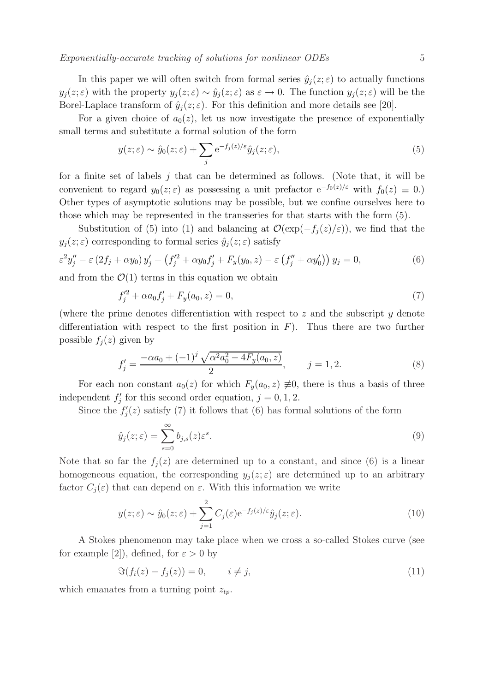In this paper we will often switch from formal series  $\hat{y}_j(z;\varepsilon)$  to actually functions  $y_j(z;\varepsilon)$  with the property  $y_j(z;\varepsilon) \sim \hat{y}_j(z;\varepsilon)$  as  $\varepsilon \to 0$ . The function  $y_j(z;\varepsilon)$  will be the Borel-Laplace transform of  $\hat{y}_i(z;\varepsilon)$ . For this definition and more details see [20].

For a given choice of  $a_0(z)$ , let us now investigate the presence of exponentially small terms and substitute a formal solution of the form

$$
y(z;\varepsilon) \sim \hat{y}_0(z;\varepsilon) + \sum_j e^{-f_j(z)/\varepsilon} \hat{y}_j(z;\varepsilon), \tag{5}
$$

for a finite set of labels  $j$  that can be determined as follows. (Note that, it will be convenient to regard  $y_0(z;\varepsilon)$  as possessing a unit prefactor  $e^{-f_0(z)/\varepsilon}$  with  $f_0(z) \equiv 0$ .) Other types of asymptotic solutions may be possible, but we confine ourselves here to those which may be represented in the transseries for that starts with the form (5).

Substitution of (5) into (1) and balancing at  $\mathcal{O}(\exp(-f_i(z)/\varepsilon))$ , we find that the  $y_i(z;\varepsilon)$  corresponding to formal series  $\hat{y}_i(z;\varepsilon)$  satisfy

$$
\varepsilon^2 y_j'' - \varepsilon (2f_j + \alpha y_0) y_j' + (f_j'^2 + \alpha y_0 f_j' + F_y(y_0, z) - \varepsilon (f_j'' + \alpha y_0')) y_j = 0,
$$
\n(6)

and from the  $\mathcal{O}(1)$  terms in this equation we obtain

$$
f_j'^2 + \alpha a_0 f_j' + F_y(a_0, z) = 0,\t\t(7)
$$

(where the prime denotes differentiation with respect to  $z$  and the subscript  $y$  denote differentiation with respect to the first position in  $F$ ). Thus there are two further possible  $f_i(z)$  given by

$$
f_j' = \frac{-\alpha a_0 + (-1)^j \sqrt{\alpha^2 a_0^2 - 4F_y(a_0, z)}}{2}, \qquad j = 1, 2.
$$
 (8)

For each non constant  $a_0(z)$  for which  $F_y(a_0, z) \neq 0$ , there is thus a basis of three independent  $f_i'$  $'_{j}$  for this second order equation,  $j = 0, 1, 2$ .

Since the  $f_i'$  $j'(z)$  satisfy (7) it follows that (6) has formal solutions of the form

$$
\hat{y}_j(z;\varepsilon) = \sum_{s=0}^{\infty} b_{j,s}(z) \varepsilon^s.
$$
\n(9)

Note that so far the  $f_j(z)$  are determined up to a constant, and since (6) is a linear homogeneous equation, the corresponding  $y_i(z;\varepsilon)$  are determined up to an arbitrary factor  $C_j(\varepsilon)$  that can depend on  $\varepsilon$ . With this information we write

$$
y(z;\varepsilon) \sim \hat{y}_0(z;\varepsilon) + \sum_{j=1}^2 C_j(\varepsilon) e^{-f_j(z)/\varepsilon} \hat{y}_j(z;\varepsilon).
$$
 (10)

A Stokes phenomenon may take place when we cross a so-called Stokes curve (see for example [2]), defined, for  $\varepsilon > 0$  by

$$
\mathfrak{S}(f_i(z) - f_j(z)) = 0, \qquad i \neq j,
$$
\n
$$
(11)
$$

which emanates from a turning point  $z_{tp}$ .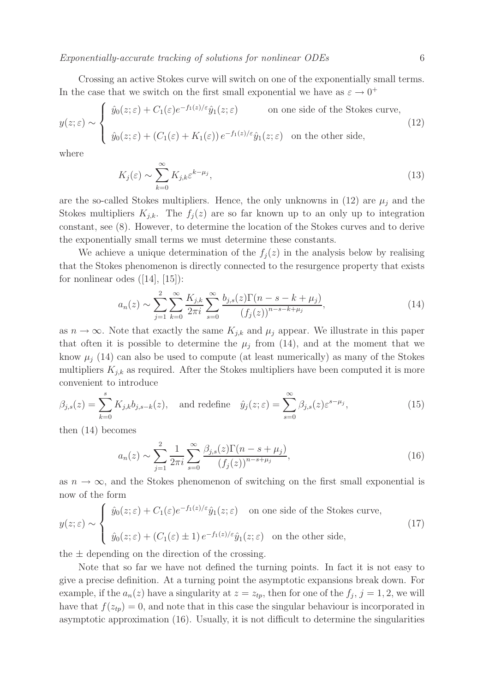Crossing an active Stokes curve will switch on one of the exponentially small terms. In the case that we switch on the first small exponential we have as  $\varepsilon \to 0^+$ 

$$
y(z;\varepsilon) \sim \begin{cases} \hat{y}_0(z;\varepsilon) + C_1(\varepsilon)e^{-f_1(z)/\varepsilon}\hat{y}_1(z;\varepsilon) & \text{on one side of the Stokes curve,} \\ \hat{y}_0(z;\varepsilon) + (C_1(\varepsilon) + K_1(\varepsilon))e^{-f_1(z)/\varepsilon}\hat{y}_1(z;\varepsilon) & \text{on the other side,} \end{cases}
$$
(12)

where

$$
K_j(\varepsilon) \sim \sum_{k=0}^{\infty} K_{j,k} \varepsilon^{k-\mu_j},\tag{13}
$$

are the so-called Stokes multipliers. Hence, the only unknowns in (12) are  $\mu_j$  and the Stokes multipliers  $K_{j,k}$ . The  $f_j(z)$  are so far known up to an only up to integration constant, see (8). However, to determine the location of the Stokes curves and to derive the exponentially small terms we must determine these constants.

We achieve a unique determination of the  $f_i(z)$  in the analysis below by realising that the Stokes phenomenon is directly connected to the resurgence property that exists for nonlinear odes  $([14], [15])$ :

$$
a_n(z) \sim \sum_{j=1}^2 \sum_{k=0}^\infty \frac{K_{j,k}}{2\pi i} \sum_{s=0}^\infty \frac{b_{j,s}(z)\Gamma(n-s-k+\mu_j)}{(f_j(z))^{n-s-k+\mu_j}},\tag{14}
$$

as  $n \to \infty$ . Note that exactly the same  $K_{j,k}$  and  $\mu_j$  appear. We illustrate in this paper that often it is possible to determine the  $\mu_j$  from (14), and at the moment that we know  $\mu_i$  (14) can also be used to compute (at least numerically) as many of the Stokes multipliers  $K_{j,k}$  as required. After the Stokes multipliers have been computed it is more convenient to introduce

$$
\beta_{j,s}(z) = \sum_{k=0}^{s} K_{j,k} b_{j,s-k}(z), \quad \text{and redefine} \quad \hat{y}_j(z;\varepsilon) = \sum_{s=0}^{\infty} \beta_{j,s}(z) \varepsilon^{s-\mu_j},\tag{15}
$$

then (14) becomes

$$
a_n(z) \sim \sum_{j=1}^2 \frac{1}{2\pi i} \sum_{s=0}^\infty \frac{\beta_{j,s}(z) \Gamma(n-s+\mu_j)}{(f_j(z))^{n-s+\mu_j}},\tag{16}
$$

as  $n \to \infty$ , and the Stokes phenomenon of switching on the first small exponential is now of the form

$$
y(z;\varepsilon) \sim \begin{cases} \hat{y}_0(z;\varepsilon) + C_1(\varepsilon)e^{-f_1(z)/\varepsilon}\hat{y}_1(z;\varepsilon) & \text{on one side of the Stokes curve,} \\ \hat{y}_0(z;\varepsilon) + (C_1(\varepsilon) \pm 1)e^{-f_1(z)/\varepsilon}\hat{y}_1(z;\varepsilon) & \text{on the other side,} \end{cases}
$$
(17)

the  $\pm$  depending on the direction of the crossing.

Note that so far we have not defined the turning points. In fact it is not easy to give a precise definition. At a turning point the asymptotic expansions break down. For example, if the  $a_n(z)$  have a singularity at  $z = z_{tp}$ , then for one of the  $f_j$ ,  $j = 1, 2$ , we will have that  $f(z_{tp}) = 0$ , and note that in this case the singular behaviour is incorporated in asymptotic approximation (16). Usually, it is not difficult to determine the singularities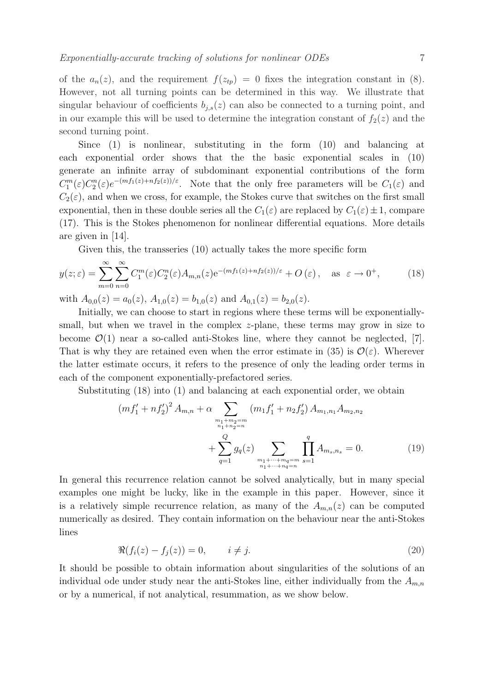of the  $a_n(z)$ , and the requirement  $f(z_{tp}) = 0$  fixes the integration constant in (8). However, not all turning points can be determined in this way. We illustrate that singular behaviour of coefficients  $b_{i,s}(z)$  can also be connected to a turning point, and in our example this will be used to determine the integration constant of  $f_2(z)$  and the second turning point.

Since (1) is nonlinear, substituting in the form (10) and balancing at each exponential order shows that the the basic exponential scales in (10) generate an infinite array of subdominant exponential contributions of the form  $C_1^m(\varepsilon)C_2^n(\varepsilon)e^{-(mf_1(z)+nf_2(z))/\varepsilon}$ . Note that the only free parameters will be  $C_1(\varepsilon)$  and  $C_2(\varepsilon)$ , and when we cross, for example, the Stokes curve that switches on the first small exponential, then in these double series all the  $C_1(\varepsilon)$  are replaced by  $C_1(\varepsilon) \pm 1$ , compare (17). This is the Stokes phenomenon for nonlinear differential equations. More details are given in [14].

Given this, the transseries (10) actually takes the more specific form

$$
y(z;\varepsilon) = \sum_{m=0}^{\infty} \sum_{n=0}^{\infty} C_1^m(\varepsilon) C_2^n(\varepsilon) A_{m,n}(z) e^{-(m f_1(z) + n f_2(z))/\varepsilon} + O(\varepsilon), \quad \text{as } \varepsilon \to 0^+, \tag{18}
$$

with  $A_{0,0}(z) = a_0(z)$ ,  $A_{1,0}(z) = b_{1,0}(z)$  and  $A_{0,1}(z) = b_{2,0}(z)$ .

Initially, we can choose to start in regions where these terms will be exponentiallysmall, but when we travel in the complex z-plane, these terms may grow in size to become  $\mathcal{O}(1)$  near a so-called anti-Stokes line, where they cannot be neglected, [7]. That is why they are retained even when the error estimate in (35) is  $\mathcal{O}(\varepsilon)$ . Wherever the latter estimate occurs, it refers to the presence of only the leading order terms in each of the component exponentially-prefactored series.

Substituting (18) into (1) and balancing at each exponential order, we obtain

$$
(mf'_{1} + nf'_{2})^{2} A_{m,n} + \alpha \sum_{\substack{m_{1}+m_{2}=m\\n_{1}+n_{2}=n}} (m_{1}f'_{1} + n_{2}f'_{2}) A_{m_{1},n_{1}} A_{m_{2},n_{2}} + \sum_{q=1}^{Q} g_{q}(z) \sum_{\substack{m_{1}+ \cdots + m_{q}=m\\n_{1}+ \cdots + n_{q}=n}} \prod_{s=1}^{q} A_{m_{s},n_{s}} = 0.
$$
 (19)

In general this recurrence relation cannot be solved analytically, but in many special examples one might be lucky, like in the example in this paper. However, since it is a relatively simple recurrence relation, as many of the  $A_{m,n}(z)$  can be computed numerically as desired. They contain information on the behaviour near the anti-Stokes lines

$$
\Re(f_i(z) - f_j(z)) = 0, \qquad i \neq j. \tag{20}
$$

It should be possible to obtain information about singularities of the solutions of an individual ode under study near the anti-Stokes line, either individually from the  $A_{m,n}$ or by a numerical, if not analytical, resummation, as we show below.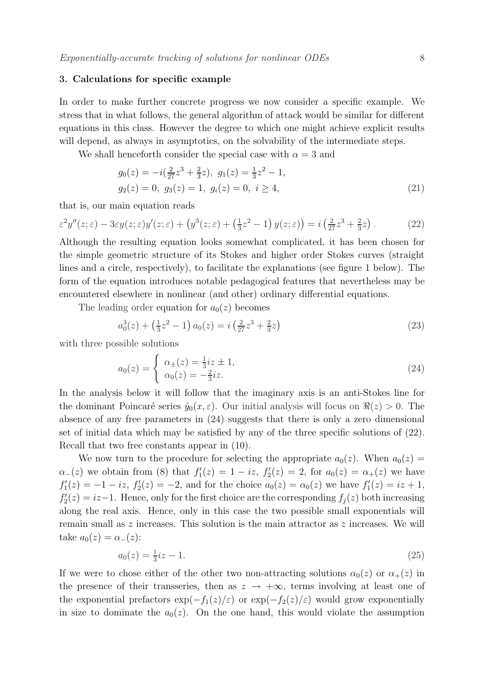## 3. Calculations for specific example

In order to make further concrete progress we now consider a specific example. We stress that in what follows, the general algorithm of attack would be similar for different equations in this class. However the degree to which one might achieve explicit results will depend, as always in asymptotics, on the solvability of the intermediate steps.

We shall henceforth consider the special case with  $\alpha = 3$  and

$$
g_0(z) = -i(\frac{2}{27}z^3 + \frac{2}{3}z), \ g_1(z) = \frac{1}{3}z^2 - 1,
$$
  

$$
g_2(z) = 0, \ g_3(z) = 1, \ g_i(z) = 0, \ i \ge 4,
$$
 (21)

that is, our main equation reads

$$
\varepsilon^2 y''(z;\varepsilon) - 3\varepsilon y(z;\varepsilon)y'(z;\varepsilon) + \left(y^3(z;\varepsilon) + \left(\frac{1}{3}z^2 - 1\right)y(z;\varepsilon)\right) = i\left(\frac{2}{27}z^3 + \frac{2}{3}z\right). \tag{22}
$$

Although the resulting equation looks somewhat complicated, it has been chosen for the simple geometric structure of its Stokes and higher order Stokes curves (straight lines and a circle, respectively), to facilitate the explanations (see figure 1 below). The form of the equation introduces notable pedagogical features that nevertheless may be encountered elsewhere in nonlinear (and other) ordinary differential equations.

The leading order equation for  $a_0(z)$  becomes

$$
a_0^3(z) + \left(\frac{1}{3}z^2 - 1\right)a_0(z) = i\left(\frac{2}{27}z^3 + \frac{2}{3}z\right)
$$
\n(23)

with three possible solutions

$$
a_0(z) = \begin{cases} \alpha_{\pm}(z) = \frac{1}{3}iz \pm 1, \\ \alpha_0(z) = -\frac{2}{3}iz. \end{cases}
$$
 (24)

In the analysis below it will follow that the imaginary axis is an anti-Stokes line for the dominant Poincaré series  $\hat{y}_0(x,\varepsilon)$ . Our initial analysis will focus on  $\Re(z) > 0$ . The absence of any free parameters in (24) suggests that there is only a zero dimensional set of initial data which may be satisfied by any of the three specific solutions of (22). Recall that two free constants appear in (10).

We now turn to the procedure for selecting the appropriate  $a_0(z)$ . When  $a_0(z)$  =  $\alpha_-(z)$  we obtain from (8) that  $f'_1$  $f_1'(z) = 1 - iz, f_2'$  $Z_2'(z) = 2$ , for  $a_0(z) = \alpha_+(z)$  we have  $f_1'$  $J_1'(z) = -1 - iz, f_2'$  $Z_2'(z) = -2$ , and for the choice  $a_0(z) = \alpha_0(z)$  we have  $f_1'$  $i_1'(z) = iz + 1,$  $f_2'$  $Z_2'(z) = iz-1$ . Hence, only for the first choice are the corresponding  $f_j(z)$  both increasing along the real axis. Hence, only in this case the two possible small exponentials will remain small as z increases. This solution is the main attractor as z increases. We will take  $a_0(z) = \alpha_-(z)$ :

$$
a_0(z) = \frac{1}{3}iz - 1.
$$
\n(25)

If we were to chose either of the other two non-attracting solutions  $\alpha_0(z)$  or  $\alpha_+(z)$  in the presence of their transseries, then as  $z \to +\infty$ , terms involving at least one of the exponential prefactors  $\exp(-f_1(z)/\varepsilon)$  or  $\exp(-f_2(z)/\varepsilon)$  would grow exponentially in size to dominate the  $a_0(z)$ . On the one hand, this would violate the assumption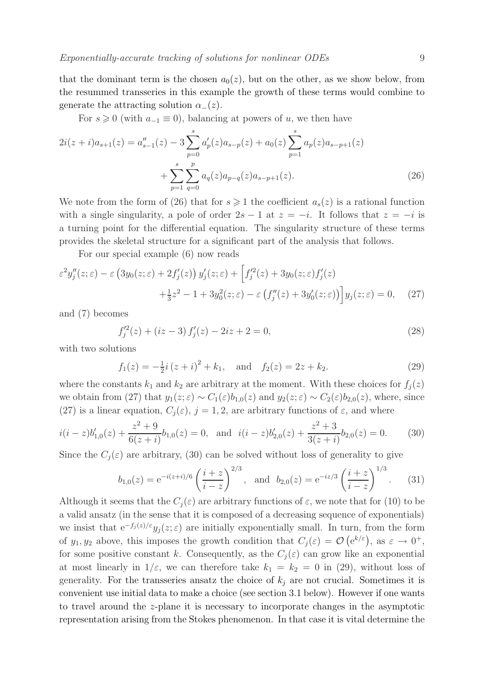For  $s \geq 0$  (with  $a_{-1} \equiv 0$ ), balancing at powers of u, we then have

$$
2i(z+i)a_{s+1}(z) = a''_{s-1}(z) - 3\sum_{p=0}^{s} a'_{p}(z)a_{s-p}(z) + a_{0}(z)\sum_{p=1}^{s} a_{p}(z)a_{s-p+1}(z) + \sum_{p=1}^{s} \sum_{q=0}^{p} a_{q}(z)a_{p-q}(z)a_{s-p+1}(z).
$$
\n(26)

We note from the form of (26) that for  $s \geq 1$  the coefficient  $a_s(z)$  is a rational function with a single singularity, a pole of order  $2s - 1$  at  $z = -i$ . It follows that  $z = -i$  is a turning point for the differential equation. The singularity structure of these terms provides the skeletal structure for a significant part of the analysis that follows.

For our special example (6) now reads

$$
\varepsilon^2 y_j''(z;\varepsilon) - \varepsilon \left( 3y_0(z;\varepsilon) + 2f_j'(z) \right) y_j'(z;\varepsilon) + \left[ f_j'^2(z) + 3y_0(z;\varepsilon) f_j'(z) \right. \\ \left. + \frac{1}{3} z^2 - 1 + 3y_0^2(z;\varepsilon) - \varepsilon \left( f_j''(z) + 3y_0'(z;\varepsilon) \right) \right] y_j(z;\varepsilon) = 0, \quad (27)
$$

and (7) becomes

$$
f_j'^2(z) + (iz - 3) f_j'(z) - 2iz + 2 = 0,
$$
\n(28)

with two solutions

$$
f_1(z) = -\frac{1}{2}i(z+i)^2 + k_1
$$
, and  $f_2(z) = 2z + k_2$ . (29)

where the constants  $k_1$  and  $k_2$  are arbitrary at the moment. With these choices for  $f_i(z)$ we obtain from (27) that  $y_1(z;\varepsilon) \sim C_1(\varepsilon) b_{1,0}(z)$  and  $y_2(z;\varepsilon) \sim C_2(\varepsilon) b_{2,0}(z)$ , where, since (27) is a linear equation,  $C_i(\varepsilon)$ ,  $j = 1, 2$ , are arbitrary functions of  $\varepsilon$ , and where

$$
i(i-z)b'_{1,0}(z) + \frac{z^2 + 9}{6(z+i)}b_{1,0}(z) = 0, \text{ and } i(i-z)b'_{2,0}(z) + \frac{z^2 + 3}{3(z+i)}b_{2,0}(z) = 0.
$$
 (30)

Since the  $C_i(\varepsilon)$  are arbitrary, (30) can be solved without loss of generality to give

$$
b_{1,0}(z) = e^{-i(z+i)/6} \left(\frac{i+z}{i-z}\right)^{2/3}
$$
, and  $b_{2,0}(z) = e^{-iz/3} \left(\frac{i+z}{i-z}\right)^{1/3}$ . (31)

Although it seems that the  $C_i(\varepsilon)$  are arbitrary functions of  $\varepsilon$ , we note that for (10) to be a valid ansatz (in the sense that it is composed of a decreasing sequence of exponentials) we insist that  $e^{-f_j(z)/\varepsilon}y_j(z;\varepsilon)$  are initially exponentially small. In turn, from the form of  $y_1, y_2$  above, this imposes the growth condition that  $C_j(\varepsilon) = \mathcal{O}(\mathrm{e}^{k/\varepsilon})$ , as  $\varepsilon \to 0^+,$ for some positive constant k. Consequently, as the  $C_i(\varepsilon)$  can grow like an exponential at most linearly in  $1/\varepsilon$ , we can therefore take  $k_1 = k_2 = 0$  in (29), without loss of generality. For the transseries ansatz the choice of  $k_i$  are not crucial. Sometimes it is convenient use initial data to make a choice (see section 3.1 below). However if one wants to travel around the z-plane it is necessary to incorporate changes in the asymptotic representation arising from the Stokes phenomenon. In that case it is vital determine the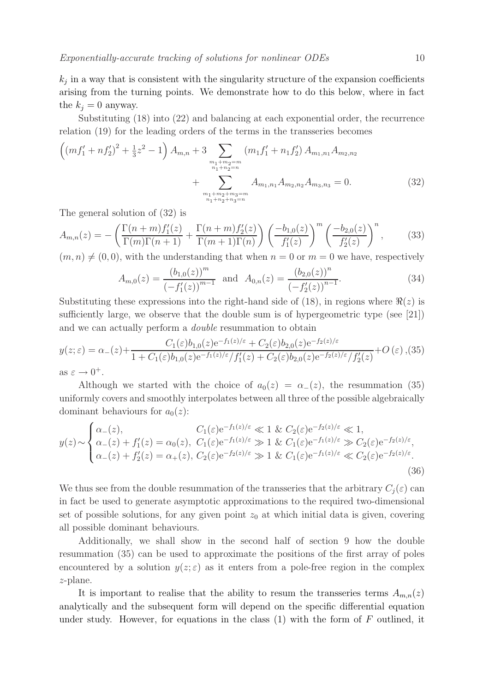Exponentially-accurate tracking of solutions for nonlinear ODEs 10

 $k_j$  in a way that is consistent with the singularity structure of the expansion coefficients arising from the turning points. We demonstrate how to do this below, where in fact the  $k_i = 0$  anyway.

Substituting (18) into (22) and balancing at each exponential order, the recurrence relation (19) for the leading orders of the terms in the transseries becomes

$$
\left( (mf_1' + nf_2')^2 + \frac{1}{3}z^2 - 1 \right) A_{m,n} + 3 \sum_{\substack{m_1 + m_2 = m \\ n_1 + n_2 = n}} (m_1 f_1' + n_1 f_2') A_{m_1, n_1} A_{m_2, n_2} + \sum_{\substack{m_1 + m_2 + m_3 = m \\ n_1 + n_2 + n_3 = n}} A_{m_1, n_1} A_{m_2, n_2} A_{m_3, n_3} = 0.
$$
 (32)

The general solution of (32) is

$$
A_{m,n}(z) = -\left(\frac{\Gamma(n+m)f_1'(z)}{\Gamma(m)\Gamma(n+1)} + \frac{\Gamma(n+m)f_2'(z)}{\Gamma(m+1)\Gamma(n)}\right) \left(\frac{-b_{1,0}(z)}{f_1'(z)}\right)^m \left(\frac{-b_{2,0}(z)}{f_2'(z)}\right)^n, \tag{33}
$$

 $(m, n) \neq (0, 0)$ , with the understanding that when  $n = 0$  or  $m = 0$  we have, respectively

$$
A_{m,0}(z) = \frac{(b_{1,0}(z))^m}{(-f_1'(z))^{m-1}} \text{ and } A_{0,n}(z) = \frac{(b_{2,0}(z))^n}{(-f_2'(z))^{n-1}}.
$$
 (34)

Substituting these expressions into the right-hand side of  $(18)$ , in regions where  $\Re(z)$  is sufficiently large, we observe that the double sum is of hypergeometric type (see [21]) and we can actually perform a double resummation to obtain

$$
y(z;\varepsilon) = \alpha_{-}(z) + \frac{C_{1}(\varepsilon)b_{1,0}(z)e^{-f_{1}(z)/\varepsilon} + C_{2}(\varepsilon)b_{2,0}(z)e^{-f_{2}(z)/\varepsilon}}{1 + C_{1}(\varepsilon)b_{1,0}(z)e^{-f_{1}(z)/\varepsilon}/f'_{1}(z) + C_{2}(\varepsilon)b_{2,0}(z)e^{-f_{2}(z)/\varepsilon}/f'_{2}(z)} + O(\varepsilon),
$$
(35)  
as  $\varepsilon \to 0^{+}$ .

Although we started with the choice of  $a_0(z) = \alpha_-(z)$ , the resummation (35) uniformly covers and smoothly interpolates between all three of the possible algebraically dominant behaviours for  $a_0(z)$ :

$$
y(z) \sim \begin{cases} \alpha_{-}(z), & C_1(\varepsilon) e^{-f_1(z)/\varepsilon} \ll 1 \ \& \ C_2(\varepsilon) e^{-f_2(z)/\varepsilon} \ll 1, \\ \alpha_{-}(z) + f'_1(z) = \alpha_0(z), & C_1(\varepsilon) e^{-f_1(z)/\varepsilon} \gg 1 \ \& \ C_1(\varepsilon) e^{-f_1(z)/\varepsilon} \gg C_2(\varepsilon) e^{-f_2(z)/\varepsilon}, \\ \alpha_{-}(z) + f'_2(z) = \alpha_{+}(z), & C_2(\varepsilon) e^{-f_2(z)/\varepsilon} \gg 1 \ \& \ C_1(\varepsilon) e^{-f_1(z)/\varepsilon} \ll C_2(\varepsilon) e^{-f_2(z)/\varepsilon}. \end{cases}
$$
\n(36)

We thus see from the double resummation of the transseries that the arbitrary  $C_i(\varepsilon)$  can in fact be used to generate asymptotic approximations to the required two-dimensional set of possible solutions, for any given point  $z_0$  at which initial data is given, covering all possible dominant behaviours.

Additionally, we shall show in the second half of section 9 how the double resummation (35) can be used to approximate the positions of the first array of poles encountered by a solution  $y(z;\varepsilon)$  as it enters from a pole-free region in the complex z-plane.

It is important to realise that the ability to resum the transseries terms  $A_{m,n}(z)$ analytically and the subsequent form will depend on the specific differential equation under study. However, for equations in the class  $(1)$  with the form of F outlined, it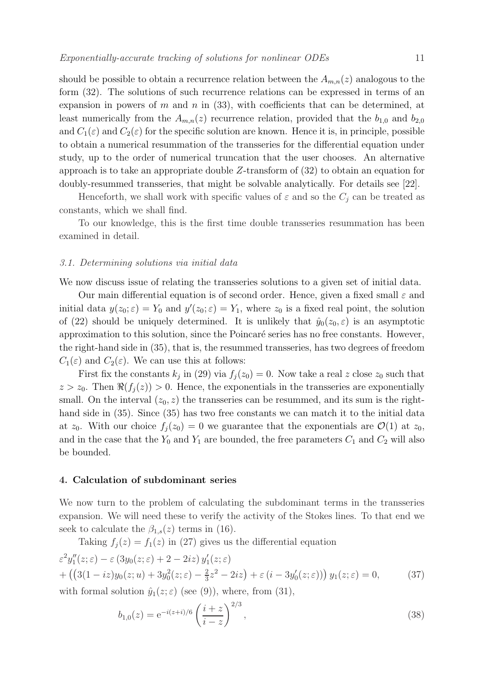should be possible to obtain a recurrence relation between the  $A_{m,n}(z)$  analogous to the form (32). The solutions of such recurrence relations can be expressed in terms of an expansion in powers of m and n in  $(33)$ , with coefficients that can be determined, at least numerically from the  $A_{m,n}(z)$  recurrence relation, provided that the  $b_{1,0}$  and  $b_{2,0}$ and  $C_1(\varepsilon)$  and  $C_2(\varepsilon)$  for the specific solution are known. Hence it is, in principle, possible to obtain a numerical resummation of the transseries for the differential equation under study, up to the order of numerical truncation that the user chooses. An alternative approach is to take an appropriate double Z-transform of (32) to obtain an equation for doubly-resummed transseries, that might be solvable analytically. For details see [22].

Henceforth, we shall work with specific values of  $\varepsilon$  and so the  $C_i$  can be treated as constants, which we shall find.

To our knowledge, this is the first time double transseries resummation has been examined in detail.

#### 3.1. Determining solutions via initial data

We now discuss issue of relating the transseries solutions to a given set of initial data.

Our main differential equation is of second order. Hence, given a fixed small  $\varepsilon$  and initial data  $y(z_0; \varepsilon) = Y_0$  and  $y'(z_0; \varepsilon) = Y_1$ , where  $z_0$  is a fixed real point, the solution of (22) should be uniquely determined. It is unlikely that  $\hat{y}_0(z_0, \varepsilon)$  is an asymptotic approximation to this solution, since the Poincaré series has no free constants. However, the right-hand side in (35), that is, the resummed transseries, has two degrees of freedom  $C_1(\varepsilon)$  and  $C_2(\varepsilon)$ . We can use this at follows:

First fix the constants  $k_j$  in (29) via  $f_j(z_0) = 0$ . Now take a real z close  $z_0$  such that  $z > z_0$ . Then  $\Re(f_i(z)) > 0$ . Hence, the exponentials in the transseries are exponentially small. On the interval  $(z_0, z)$  the transseries can be resummed, and its sum is the righthand side in  $(35)$ . Since  $(35)$  has two free constants we can match it to the initial data at  $z_0$ . With our choice  $f_i(z_0) = 0$  we guarantee that the exponentials are  $\mathcal{O}(1)$  at  $z_0$ , and in the case that the  $Y_0$  and  $Y_1$  are bounded, the free parameters  $C_1$  and  $C_2$  will also be bounded.

# 4. Calculation of subdominant series

We now turn to the problem of calculating the subdominant terms in the transseries expansion. We will need these to verify the activity of the Stokes lines. To that end we seek to calculate the  $\beta_{1,s}(z)$  terms in (16).

Taking  $f_i(z) = f_1(z)$  in (27) gives us the differential equation

$$
\varepsilon^2 y_1''(z;\varepsilon) - \varepsilon (3y_0(z;\varepsilon) + 2 - 2iz) y_1'(z;\varepsilon)
$$
  
+ 
$$
\left( \left( 3(1 - iz)y_0(z;u) + 3y_0^2(z;\varepsilon) - \frac{2}{3}z^2 - 2iz \right) + \varepsilon (i - 3y_0'(z;\varepsilon)) \right) y_1(z;\varepsilon) = 0,
$$
 (37)

with formal solution  $\hat{y}_1(z;\varepsilon)$  (see (9)), where, from (31),

$$
b_{1,0}(z) = e^{-i(z+i)/6} \left(\frac{i+z}{i-z}\right)^{2/3},\tag{38}
$$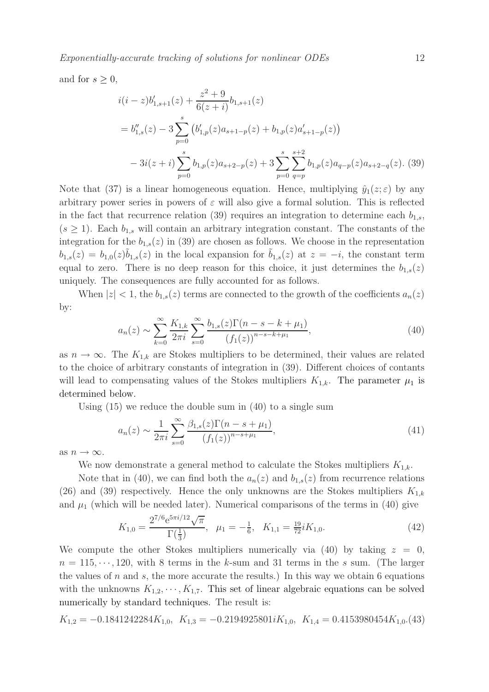Exponentially-accurate tracking of solutions for nonlinear ODEs 12

and for  $s \geq 0$ ,

$$
i(i-z)b'_{1,s+1}(z) + \frac{z^2 + 9}{6(z+i)}b_{1,s+1}(z)
$$
  
=  $b''_{1,s}(z) - 3\sum_{p=0}^{s} (b'_{1,p}(z)a_{s+1-p}(z) + b_{1,p}(z)a'_{s+1-p}(z))$   

$$
-3i(z+i)\sum_{p=0}^{s} b_{1,p}(z)a_{s+2-p}(z) + 3\sum_{p=0}^{s} \sum_{q=p}^{s+2} b_{1,p}(z)a_{q-p}(z)a_{s+2-q}(z).
$$
 (39)

Note that (37) is a linear homogeneous equation. Hence, multiplying  $\hat{y}_1(z;\epsilon)$  by any arbitrary power series in powers of  $\varepsilon$  will also give a formal solution. This is reflected in the fact that recurrence relation (39) requires an integration to determine each  $b_{1,s}$ ,  $(s \geq 1)$ . Each  $b_{1,s}$  will contain an arbitrary integration constant. The constants of the integration for the  $b_{1,s}(z)$  in (39) are chosen as follows. We choose in the representation  $b_{1,s}(z) = b_{1,0}(z)\tilde{b}_{1,s}(z)$  in the local expansion for  $\tilde{b}_{1,s}(z)$  at  $z = -i$ , the constant term equal to zero. There is no deep reason for this choice, it just determines the  $b_{1,s}(z)$ uniquely. The consequences are fully accounted for as follows.

When  $|z| < 1$ , the  $b_{1,s}(z)$  terms are connected to the growth of the coefficients  $a_n(z)$ by:

$$
a_n(z) \sim \sum_{k=0}^{\infty} \frac{K_{1,k}}{2\pi i} \sum_{s=0}^{\infty} \frac{b_{1,s}(z)\Gamma(n-s-k+\mu_1)}{(f_1(z))^{n-s-k+\mu_1}},
$$
\n(40)

as  $n \to \infty$ . The  $K_{1,k}$  are Stokes multipliers to be determined, their values are related to the choice of arbitrary constants of integration in (39). Different choices of contants will lead to compensating values of the Stokes multipliers  $K_{1,k}$ . The parameter  $\mu_1$  is determined below.

Using (15) we reduce the double sum in (40) to a single sum

$$
a_n(z) \sim \frac{1}{2\pi i} \sum_{s=0}^{\infty} \frac{\beta_{1,s}(z) \Gamma(n - s + \mu_1)}{(f_1(z))^{n - s + \mu_1}},
$$
\n(41)

as  $n \to \infty$ .

We now demonstrate a general method to calculate the Stokes multipliers  $K_{1,k}$ .

Note that in (40), we can find both the  $a_n(z)$  and  $b_{1,s}(z)$  from recurrence relations (26) and (39) respectively. Hence the only unknowns are the Stokes multipliers  $K_{1,k}$ and  $\mu_1$  (which will be needed later). Numerical comparisons of the terms in (40) give

$$
K_{1,0} = \frac{2^{7/6} e^{5\pi i/12} \sqrt{\pi}}{\Gamma(\frac{1}{3})}, \quad \mu_1 = -\frac{1}{6}, \quad K_{1,1} = \frac{19}{72} i K_{1,0}.
$$
 (42)

We compute the other Stokes multipliers numerically via  $(40)$  by taking  $z = 0$ ,  $n = 115, \dots, 120$ , with 8 terms in the k-sum and 31 terms in the s sum. (The larger the values of n and s, the more accurate the results.) In this way we obtain 6 equations with the unknowns  $K_{1,2}, \dots, K_{1,7}$ . This set of linear algebraic equations can be solved numerically by standard techniques. The result is:

$$
K_{1,2} = -0.1841242284K_{1,0}, K_{1,3} = -0.2194925801iK_{1,0}, K_{1,4} = 0.4153980454K_{1,0}. (43)
$$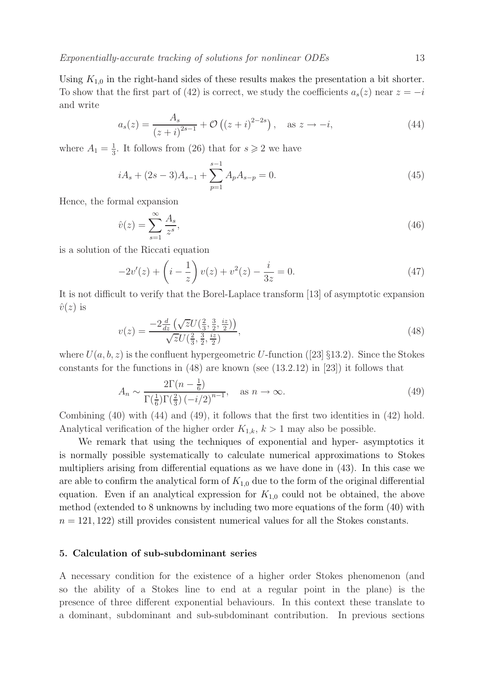Using  $K_{1,0}$  in the right-hand sides of these results makes the presentation a bit shorter. To show that the first part of (42) is correct, we study the coefficients  $a_s(z)$  near  $z = -i$ and write

$$
a_s(z) = \frac{A_s}{(z+i)^{2s-1}} + \mathcal{O}\left((z+i)^{2-2s}\right), \quad \text{as } z \to -i,
$$
 (44)

where  $A_1 = \frac{1}{3}$  $\frac{1}{3}$ . It follows from (26) that for  $s \geq 2$  we have

$$
iA_s + (2s - 3)A_{s-1} + \sum_{p=1}^{s-1} A_p A_{s-p} = 0.
$$
\n(45)

Hence, the formal expansion

$$
\hat{v}(z) = \sum_{s=1}^{\infty} \frac{A_s}{z^s},\tag{46}
$$

is a solution of the Riccati equation

$$
-2v'(z) + \left(i - \frac{1}{z}\right)v(z) + v^2(z) - \frac{i}{3z} = 0.
$$
 (47)

It is not difficult to verify that the Borel-Laplace transform [13] of asymptotic expansion  $\hat{v}(z)$  is

$$
v(z) = \frac{-2\frac{d}{dz}\left(\sqrt{z}U(\frac{2}{3}, \frac{3}{2}, \frac{iz}{2})\right)}{\sqrt{z}U(\frac{2}{3}, \frac{3}{2}, \frac{iz}{2})},\tag{48}
$$

where  $U(a, b, z)$  is the confluent hypergeometric U-function ([23] §13.2). Since the Stokes constants for the functions in  $(48)$  are known (see  $(13.2.12)$  in  $[23]$ ) it follows that

$$
A_n \sim \frac{2\Gamma(n - \frac{1}{6})}{\Gamma(\frac{1}{6})\Gamma(\frac{2}{3})\left(-i/2\right)^{n-1}}, \quad \text{as } n \to \infty.
$$
 (49)

Combining (40) with (44) and (49), it follows that the first two identities in (42) hold. Analytical verification of the higher order  $K_{1,k}$ ,  $k > 1$  may also be possible.

We remark that using the techniques of exponential and hyper- asymptotics it is normally possible systematically to calculate numerical approximations to Stokes multipliers arising from differential equations as we have done in (43). In this case we are able to confirm the analytical form of  $K_{1,0}$  due to the form of the original differential equation. Even if an analytical expression for  $K_{1,0}$  could not be obtained, the above method (extended to 8 unknowns by including two more equations of the form (40) with  $n = 121, 122$ ) still provides consistent numerical values for all the Stokes constants.

# 5. Calculation of sub-subdominant series

A necessary condition for the existence of a higher order Stokes phenomenon (and so the ability of a Stokes line to end at a regular point in the plane) is the presence of three different exponential behaviours. In this context these translate to a dominant, subdominant and sub-subdominant contribution. In previous sections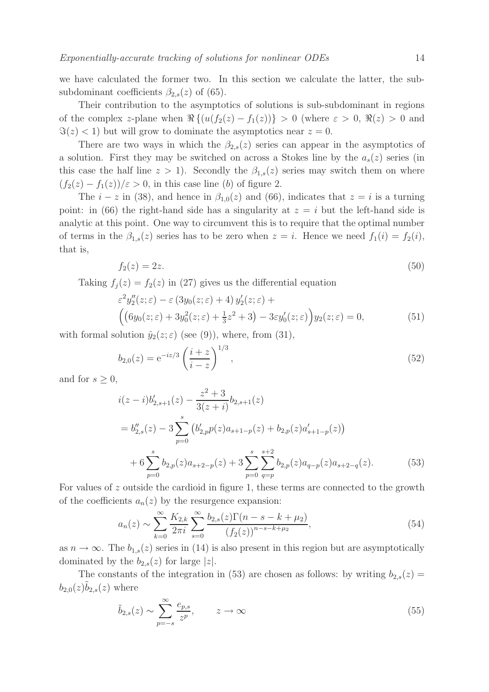we have calculated the former two. In this section we calculate the latter, the subsubdominant coefficients  $\beta_{2,s}(z)$  of (65).

Their contribution to the asymptotics of solutions is sub-subdominant in regions of the complex z-plane when  $\Re\{(u(f_2(z) - f_1(z))\} > 0$  (where  $\varepsilon > 0$ ,  $\Re(z) > 0$  and  $\Im(z) < 1$ ) but will grow to dominate the asymptotics near  $z = 0$ .

There are two ways in which the  $\beta_{2,s}(z)$  series can appear in the asymptotics of a solution. First they may be switched on across a Stokes line by the  $a_s(z)$  series (in this case the half line  $z > 1$ ). Secondly the  $\beta_{1,s}(z)$  series may switch them on where  $(f_2(z) - f_1(z))/\epsilon > 0$ , in this case line (b) of figure 2.

The  $i - z$  in (38), and hence in  $\beta_{1,0}(z)$  and (66), indicates that  $z = i$  is a turning point: in (66) the right-hand side has a singularity at  $z = i$  but the left-hand side is analytic at this point. One way to circumvent this is to require that the optimal number of terms in the  $\beta_{1,s}(z)$  series has to be zero when  $z = i$ . Hence we need  $f_1(i) = f_2(i)$ , that is,

$$
f_2(z) = 2z.\tag{50}
$$

Taking  $f_i(z) = f_2(z)$  in (27) gives us the differential equation

$$
\varepsilon^2 y_2''(z;\varepsilon) - \varepsilon (3y_0(z;\varepsilon) + 4) y_2'(z;\varepsilon) +
$$
  
\n
$$
\left( \left( 6y_0(z;\varepsilon) + 3y_0^2(z;\varepsilon) + \frac{1}{3}z^2 + 3 \right) - 3\varepsilon y_0'(z;\varepsilon) \right) y_2(z;\varepsilon) = 0,
$$
\n(51)

with formal solution  $\hat{y}_2(z;\epsilon)$  (see (9)), where, from (31),

$$
b_{2,0}(z) = e^{-iz/3} \left(\frac{i+z}{i-z}\right)^{1/3},\tag{52}
$$

and for  $s \geq 0$ ,

$$
i(z-i)b'_{2,s+1}(z) - \frac{z^2+3}{3(z+i)}b_{2,s+1}(z)
$$
  
=  $b''_{2,s}(z) - 3\sum_{p=0}^{s} (b'_{2,p}p(z)a_{s+1-p}(z) + b_{2,p}(z)a'_{s+1-p}(z))$   
+  $6\sum_{p=0}^{s} b_{2,p}(z)a_{s+2-p}(z) + 3\sum_{p=0}^{s} \sum_{q=p}^{s+2} b_{2,p}(z)a_{q-p}(z)a_{s+2-q}(z).$  (53)

For values of z outside the cardioid in figure 1, these terms are connected to the growth of the coefficients  $a_n(z)$  by the resurgence expansion:

$$
a_n(z) \sim \sum_{k=0}^{\infty} \frac{K_{2,k}}{2\pi i} \sum_{s=0}^{\infty} \frac{b_{2,s}(z)\Gamma(n-s-k+\mu_2)}{(f_2(z))^{n-s-k+\mu_2}},
$$
\n(54)

as  $n \to \infty$ . The  $b_{1,s}(z)$  series in (14) is also present in this region but are asymptotically dominated by the  $b_{2,s}(z)$  for large |z|.

The constants of the integration in (53) are chosen as follows: by writing  $b_{2,s}(z) =$  $b_{2,0}(z)\tilde{b}_{2,s}(z)$  where

$$
\tilde{b}_{2,s}(z) \sim \sum_{p=-s}^{\infty} \frac{e_{p,s}}{z^p}, \qquad z \to \infty
$$
\n(55)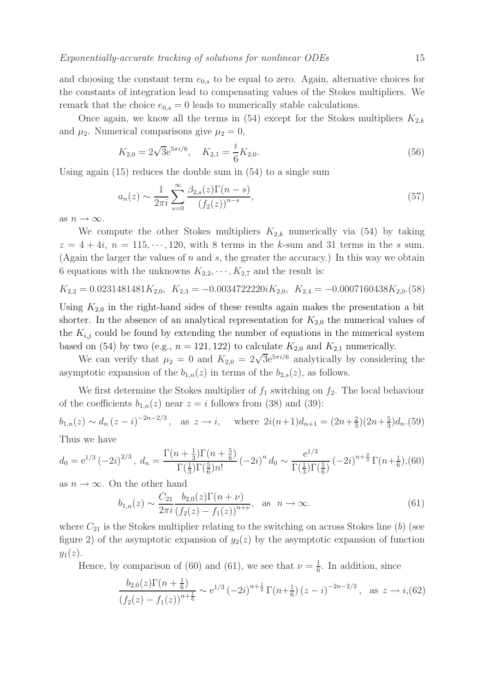and choosing the constant term  $e_{0,s}$  to be equal to zero. Again, alternative choices for the constants of integration lead to compensating values of the Stokes multipliers. We remark that the choice  $e_{0,s} = 0$  leads to numerically stable calculations.

Once again, we know all the terms in (54) except for the Stokes multipliers  $K_{2,k}$ and  $\mu_2$ . Numerical comparisons give  $\mu_2 = 0$ ,

$$
K_{2,0} = 2\sqrt{3}e^{5\pi i/6}, \quad K_{2,1} = \frac{i}{6}K_{2,0}.
$$
\n(56)

Using again (15) reduces the double sum in (54) to a single sum

$$
a_n(z) \sim \frac{1}{2\pi i} \sum_{s=0}^{\infty} \frac{\beta_{2,s}(z) \Gamma(n-s)}{(f_2(z))^{n-s}},
$$
\n(57)

as  $n \to \infty$ .

We compute the other Stokes multipliers  $K_{2,k}$  numerically via (54) by taking  $z = 4 + 4i$ ,  $n = 115, \dots, 120$ , with 8 terms in the k-sum and 31 terms in the s sum. (Again the larger the values of n and s, the greater the accuracy.) In this way we obtain 6 equations with the unknowns  $K_{2,2}, \cdots, K_{2,7}$  and the result is:

$$
K_{2,2} = 0.0231481481K_{2,0}, K_{2,3} = -0.0034722220iK_{2,0}, K_{2,4} = -0.0007160438K_{2,0}. (58)
$$

Using  $K_{2,0}$  in the right-hand sides of these results again makes the presentation a bit shorter. In the absence of an analytical representation for  $K_{2,0}$  the numerical values of the  $K_{i,j}$  could be found by extending the number of equations in the numerical system based on (54) by two (e.g.,  $n = 121, 122$ ) to calculate  $K_{2,0}$  and  $K_{2,1}$  numerically.

We can verify that  $\mu_2 = 0$  and  $K_{2,0} = 2\sqrt{3}e^{5\pi i/6}$  analytically by considering the asymptotic expansion of the  $b_{1,n}(z)$  in terms of the  $b_{2,s}(z)$ , as follows.

We first determine the Stokes multiplier of  $f_1$  switching on  $f_2$ . The local behaviour of the coefficients  $b_{1,n}(z)$  near  $z = i$  follows from (38) and (39):

 $b_{1,n}(z) \sim d_n (z - i)^{-2n - 2/3}$ , as  $z \to i$ , where  $2i(n+1)d_{n+1} = (2n + \frac{2}{3})$  $\frac{2}{3}$ )(2n+ $\frac{5}{3}$ )  $\frac{5}{3}$ ) $d_n$ .(59) Thus we have

$$
\Gamma(n+\frac{1}{3})\Gamma(n+\frac{5}{6})
$$

$$
d_0 = e^{1/3} \left(-2i\right)^{2/3}, \ d_n = \frac{\Gamma(n + \frac{1}{3})\Gamma(n + \frac{5}{6})}{\Gamma(\frac{1}{3})\Gamma(\frac{5}{6})n!} \left(-2i\right)^n d_0 \sim \frac{e^{1/3}}{\Gamma(\frac{1}{3})\Gamma(\frac{5}{6})} \left(-2i\right)^{n + \frac{2}{3}} \Gamma(n + \frac{1}{6}), (60)
$$

as  $n \to \infty$ . On the other hand

$$
b_{1,n}(z) \sim \frac{C_{21}}{2\pi i} \frac{b_{2,0}(z)\Gamma(n+\nu)}{(f_2(z) - f_1(z))^{n+\nu}}, \text{ as } n \to \infty.
$$
 (61)

1/3

where  $C_{21}$  is the Stokes multiplier relating to the switching on across Stokes line (b) (see figure 2) of the asymptotic expansion of  $y_2(z)$  by the asymptotic expansion of function  $y_1(z)$ .

Hence, by comparison of (60) and (61), we see that  $\nu = \frac{1}{6}$  $\frac{1}{6}$ . In addition, since

$$
\frac{b_{2,0}(z)\Gamma(n+\frac{1}{6})}{(f_2(z)-f_1(z))^{n+\frac{1}{6}}} \sim e^{1/3} \left(-2i\right)^{n+\frac{1}{2}} \Gamma(n+\frac{1}{6}) \left(z-i\right)^{-2n-2/3}, \text{ as } z \to i, (62)
$$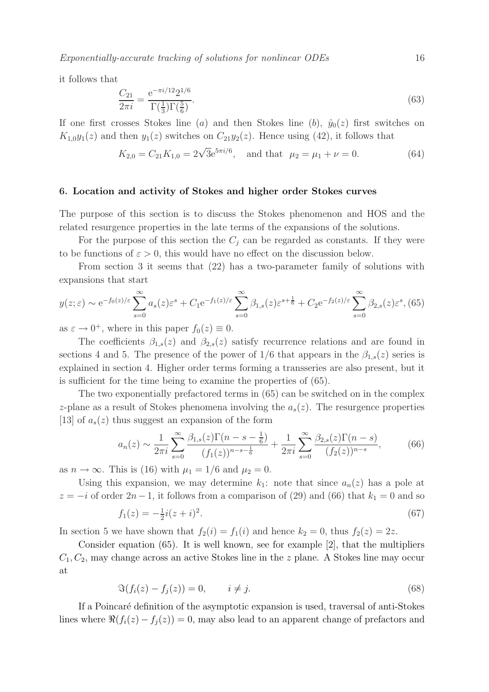Exponentially-accurate tracking of solutions for nonlinear ODEs 16

it follows that

$$
\frac{C_{21}}{2\pi i} = \frac{e^{-\pi i/12} 2^{1/6}}{\Gamma(\frac{1}{3}) \Gamma(\frac{5}{6})}.
$$
\n(63)

If one first crosses Stokes line (a) and then Stokes line (b),  $\hat{y}_0(z)$  first switches on  $K_{1,0}y_1(z)$  and then  $y_1(z)$  switches on  $C_{21}y_2(z)$ . Hence using (42), it follows that

$$
K_{2,0} = C_{21} K_{1,0} = 2\sqrt{3}e^{5\pi i/6}, \text{ and that } \mu_2 = \mu_1 + \nu = 0.
$$
 (64)

#### 6. Location and activity of Stokes and higher order Stokes curves

The purpose of this section is to discuss the Stokes phenomenon and HOS and the related resurgence properties in the late terms of the expansions of the solutions.

For the purpose of this section the  $C_i$  can be regarded as constants. If they were to be functions of  $\varepsilon > 0$ , this would have no effect on the discussion below.

From section 3 it seems that (22) has a two-parameter family of solutions with expansions that start

$$
y(z;\varepsilon) \sim e^{-f_0(z)/\varepsilon} \sum_{s=0}^{\infty} a_s(z) \varepsilon^s + C_1 e^{-f_1(z)/\varepsilon} \sum_{s=0}^{\infty} \beta_{1,s}(z) \varepsilon^{s+\frac{1}{6}} + C_2 e^{-f_2(z)/\varepsilon} \sum_{s=0}^{\infty} \beta_{2,s}(z) \varepsilon^s, (65)
$$

as  $\varepsilon \to 0^+$ , where in this paper  $f_0(z) \equiv 0$ .

The coefficients  $\beta_{1,s}(z)$  and  $\beta_{2,s}(z)$  satisfy recurrence relations and are found in sections 4 and 5. The presence of the power of  $1/6$  that appears in the  $\beta_{1,s}(z)$  series is explained in section 4. Higher order terms forming a transseries are also present, but it is sufficient for the time being to examine the properties of (65).

The two exponentially prefactored terms in (65) can be switched on in the complex z-plane as a result of Stokes phenomena involving the  $a_s(z)$ . The resurgence properties [13] of  $a_s(z)$  thus suggest an expansion of the form

$$
a_n(z) \sim \frac{1}{2\pi i} \sum_{s=0}^{\infty} \frac{\beta_{1,s}(z)\Gamma(n-s-\frac{1}{6})}{(f_1(z))^{n-s-\frac{1}{6}}} + \frac{1}{2\pi i} \sum_{s=0}^{\infty} \frac{\beta_{2,s}(z)\Gamma(n-s)}{(f_2(z))^{n-s}},\tag{66}
$$

as  $n \to \infty$ . This is (16) with  $\mu_1 = 1/6$  and  $\mu_2 = 0$ .

Using this expansion, we may determine  $k_1$ : note that since  $a_n(z)$  has a pole at  $z = -i$  of order  $2n-1$ , it follows from a comparison of (29) and (66) that  $k_1 = 0$  and so  $f_1(z) = -\frac{1}{2}$  $\frac{1}{2}i(z+i)^2$ .  $(67)$ 

In section 5 we have shown that  $f_2(i) = f_1(i)$  and hence  $k_2 = 0$ , thus  $f_2(z) = 2z$ .

Consider equation (65). It is well known, see for example [2], that the multipliers  $C_1, C_2$ , may change across an active Stokes line in the z plane. A Stokes line may occur at

$$
\mathfrak{S}(f_i(z) - f_j(z)) = 0, \qquad i \neq j. \tag{68}
$$

If a Poincar´e definition of the asymptotic expansion is used, traversal of anti-Stokes lines where  $\Re(f_i(z) - f_j(z)) = 0$ , may also lead to an apparent change of prefactors and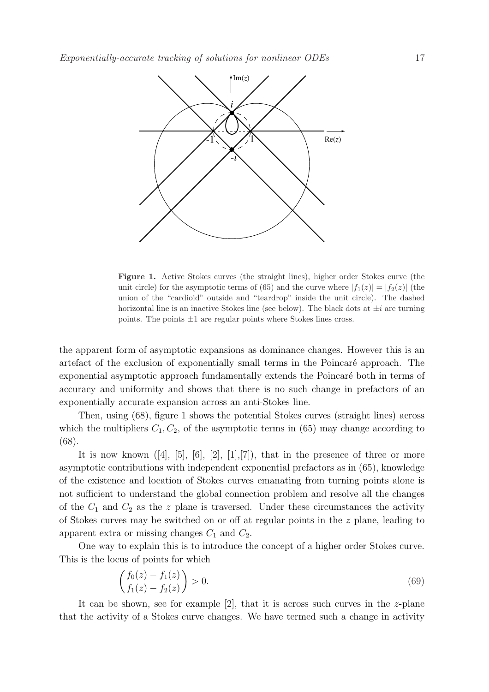

Figure 1. Active Stokes curves (the straight lines), higher order Stokes curve (the unit circle) for the asymptotic terms of (65) and the curve where  $|f_1(z)| = |f_2(z)|$  (the union of the "cardioid" outside and "teardrop" inside the unit circle). The dashed horizontal line is an inactive Stokes line (see below). The black dots at  $\pm i$  are turning points. The points  $\pm 1$  are regular points where Stokes lines cross.

the apparent form of asymptotic expansions as dominance changes. However this is an artefact of the exclusion of exponentially small terms in the Poincaré approach. The exponential asymptotic approach fundamentally extends the Poincaré both in terms of accuracy and uniformity and shows that there is no such change in prefactors of an exponentially accurate expansion across an anti-Stokes line.

Then, using (68), figure 1 shows the potential Stokes curves (straight lines) across which the multipliers  $C_1, C_2$ , of the asymptotic terms in (65) may change according to (68).

It is now known  $([4], [5], [6], [2], [1], [7])$ , that in the presence of three or more asymptotic contributions with independent exponential prefactors as in (65), knowledge of the existence and location of Stokes curves emanating from turning points alone is not sufficient to understand the global connection problem and resolve all the changes of the  $C_1$  and  $C_2$  as the z plane is traversed. Under these circumstances the activity of Stokes curves may be switched on or off at regular points in the z plane, leading to apparent extra or missing changes  $C_1$  and  $C_2$ .

One way to explain this is to introduce the concept of a higher order Stokes curve. This is the locus of points for which

$$
\left(\frac{f_0(z) - f_1(z)}{f_1(z) - f_2(z)}\right) > 0.
$$
\n(69)

It can be shown, see for example [2], that it is across such curves in the  $z$ -plane that the activity of a Stokes curve changes. We have termed such a change in activity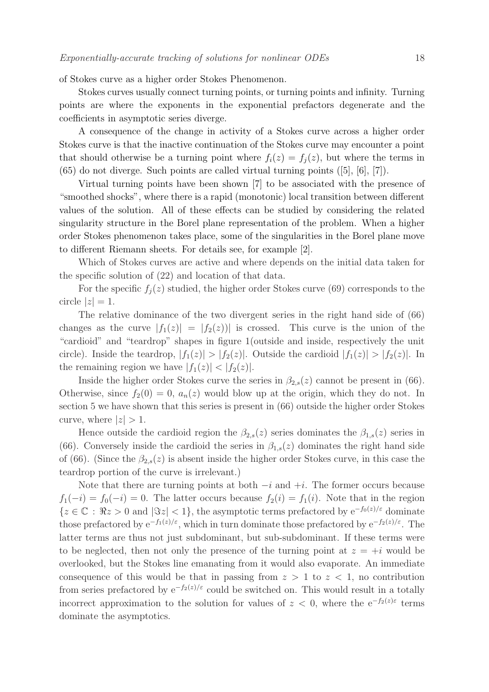of Stokes curve as a higher order Stokes Phenomenon.

Stokes curves usually connect turning points, or turning points and infinity. Turning points are where the exponents in the exponential prefactors degenerate and the coefficients in asymptotic series diverge.

A consequence of the change in activity of a Stokes curve across a higher order Stokes curve is that the inactive continuation of the Stokes curve may encounter a point that should otherwise be a turning point where  $f_i(z) = f_i(z)$ , but where the terms in (65) do not diverge. Such points are called virtual turning points ([5], [6], [7]).

Virtual turning points have been shown [7] to be associated with the presence of "smoothed shocks", where there is a rapid (monotonic) local transition between different values of the solution. All of these effects can be studied by considering the related singularity structure in the Borel plane representation of the problem. When a higher order Stokes phenomenon takes place, some of the singularities in the Borel plane move to different Riemann sheets. For details see, for example [2].

Which of Stokes curves are active and where depends on the initial data taken for the specific solution of (22) and location of that data.

For the specific  $f_j(z)$  studied, the higher order Stokes curve (69) corresponds to the circle  $|z|=1$ .

The relative dominance of the two divergent series in the right hand side of (66) changes as the curve  $|f_1(z)| = |f_2(z)|$  is crossed. This curve is the union of the "cardioid" and "teardrop" shapes in figure 1(outside and inside, respectively the unit circle). Inside the teardrop,  $|f_1(z)| > |f_2(z)|$ . Outside the cardioid  $|f_1(z)| > |f_2(z)|$ . In the remaining region we have  $|f_1(z)| < |f_2(z)|$ .

Inside the higher order Stokes curve the series in  $\beta_{2,s}(z)$  cannot be present in (66). Otherwise, since  $f_2(0) = 0$ ,  $a_n(z)$  would blow up at the origin, which they do not. In section 5 we have shown that this series is present in (66) outside the higher order Stokes curve, where  $|z| > 1$ .

Hence outside the cardioid region the  $\beta_{2,s}(z)$  series dominates the  $\beta_{1,s}(z)$  series in (66). Conversely inside the cardioid the series in  $\beta_{1,s}(z)$  dominates the right hand side of (66). (Since the  $\beta_{2,s}(z)$  is absent inside the higher order Stokes curve, in this case the teardrop portion of the curve is irrelevant.)

Note that there are turning points at both  $-i$  and  $+i$ . The former occurs because  $f_1(-i) = f_0(-i) = 0$ . The latter occurs because  $f_2(i) = f_1(i)$ . Note that in the region  ${z \in \mathbb{C} : \Re z > 0 \text{ and } |\Im z| < 1},$  the asymptotic terms prefactored by  $e^{-f_0(z)/\varepsilon}$  dominate those prefactored by  $e^{-f_1(z)/\varepsilon}$ , which in turn dominate those prefactored by  $e^{-f_2(z)/\varepsilon}$ . The latter terms are thus not just subdominant, but sub-subdominant. If these terms were to be neglected, then not only the presence of the turning point at  $z = +i$  would be overlooked, but the Stokes line emanating from it would also evaporate. An immediate consequence of this would be that in passing from  $z > 1$  to  $z < 1$ , no contribution from series prefactored by  $e^{-f_2(z)/\epsilon}$  could be switched on. This would result in a totally incorrect approximation to the solution for values of  $z < 0$ , where the e<sup>-f<sub>2</sub>(z)ε</sup> terms dominate the asymptotics.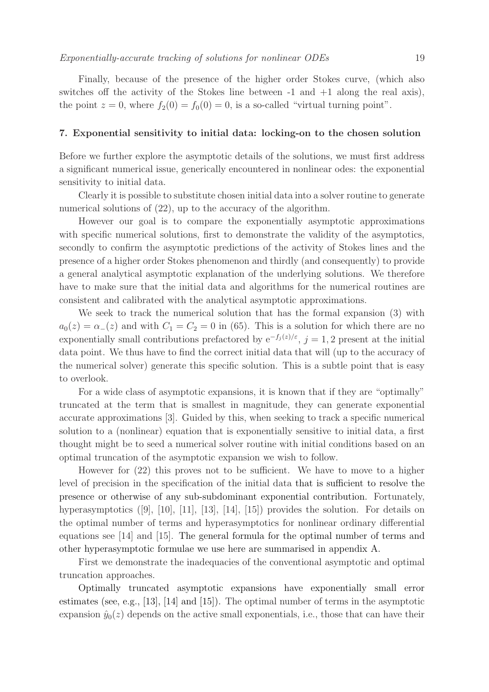#### 7. Exponential sensitivity to initial data: locking-on to the chosen solution

Before we further explore the asymptotic details of the solutions, we must first address a significant numerical issue, generically encountered in nonlinear odes: the exponential sensitivity to initial data.

Clearly it is possible to substitute chosen initial data into a solver routine to generate numerical solutions of  $(22)$ , up to the accuracy of the algorithm.

However our goal is to compare the exponentially asymptotic approximations with specific numerical solutions, first to demonstrate the validity of the asymptotics, secondly to confirm the asymptotic predictions of the activity of Stokes lines and the presence of a higher order Stokes phenomenon and thirdly (and consequently) to provide a general analytical asymptotic explanation of the underlying solutions. We therefore have to make sure that the initial data and algorithms for the numerical routines are consistent and calibrated with the analytical asymptotic approximations.

We seek to track the numerical solution that has the formal expansion (3) with  $a_0(z) = \alpha_-(z)$  and with  $C_1 = C_2 = 0$  in (65). This is a solution for which there are no exponentially small contributions prefactored by  $e^{-f_j(z)/\varepsilon}$ ,  $j=1,2$  present at the initial data point. We thus have to find the correct initial data that will (up to the accuracy of the numerical solver) generate this specific solution. This is a subtle point that is easy to overlook.

For a wide class of asymptotic expansions, it is known that if they are "optimally" truncated at the term that is smallest in magnitude, they can generate exponential accurate approximations [3]. Guided by this, when seeking to track a specific numerical solution to a (nonlinear) equation that is exponentially sensitive to initial data, a first thought might be to seed a numerical solver routine with initial conditions based on an optimal truncation of the asymptotic expansion we wish to follow.

However for (22) this proves not to be sufficient. We have to move to a higher level of precision in the specification of the initial data that is sufficient to resolve the presence or otherwise of any sub-subdominant exponential contribution. Fortunately, hyperasymptotics ([9], [10], [11], [13], [14], [15]) provides the solution. For details on the optimal number of terms and hyperasymptotics for nonlinear ordinary differential equations see [14] and [15]. The general formula for the optimal number of terms and other hyperasymptotic formulae we use here are summarised in appendix A.

First we demonstrate the inadequacies of the conventional asymptotic and optimal truncation approaches.

Optimally truncated asymptotic expansions have exponentially small error estimates (see, e.g., [13], [14] and [15]). The optimal number of terms in the asymptotic expansion  $\hat{y}_0(z)$  depends on the active small exponentials, i.e., those that can have their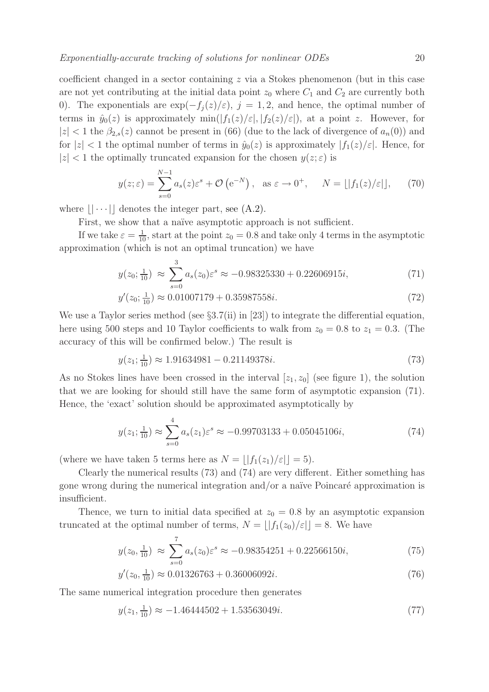coefficient changed in a sector containing  $z$  via a Stokes phenomenon (but in this case are not yet contributing at the initial data point  $z_0$  where  $C_1$  and  $C_2$  are currently both 0). The exponentials are  $\exp(-f_j(z)/\varepsilon)$ ,  $j = 1, 2$ , and hence, the optimal number of terms in  $\hat{y}_0(z)$  is approximately  $\min(|f_1(z)/\varepsilon|, |f_2(z)/\varepsilon|)$ , at a point z. However, for  $|z|$  < 1 the  $\beta_{2,s}(z)$  cannot be present in (66) (due to the lack of divergence of  $a_n(0)$ ) and for  $|z| < 1$  the optimal number of terms in  $\hat{y}_0(z)$  is approximately  $|f_1(z)/\varepsilon|$ . Hence, for  $|z|$  < 1 the optimally truncated expansion for the chosen  $y(z;\varepsilon)$  is

$$
y(z; \varepsilon) = \sum_{s=0}^{N-1} a_s(z) \varepsilon^s + \mathcal{O}\left(e^{-N}\right), \text{ as } \varepsilon \to 0^+, \quad N = \lfloor |f_1(z)/\varepsilon| \rfloor, \tag{70}
$$

where  $|| \cdots ||$  denotes the integer part, see (A.2).

First, we show that a naïve asymptotic approach is not sufficient.

If we take  $\varepsilon = \frac{1}{10}$ , start at the point  $z_0 = 0.8$  and take only 4 terms in the asymptotic approximation (which is not an optimal truncation) we have

$$
y(z_0; \frac{1}{10}) \approx \sum_{s=0}^{3} a_s(z_0) \varepsilon^s \approx -0.98325330 + 0.22606915i,
$$
 (71)

$$
y'(z_0; \frac{1}{10}) \approx 0.01007179 + 0.35987558i. \tag{72}
$$

We use a Taylor series method (see  $\S 3.7(ii)$  in [23]) to integrate the differential equation, here using 500 steps and 10 Taylor coefficients to walk from  $z_0 = 0.8$  to  $z_1 = 0.3$ . (The accuracy of this will be confirmed below.) The result is

$$
y(z_1; \frac{1}{10}) \approx 1.91634981 - 0.21149378i. \tag{73}
$$

As no Stokes lines have been crossed in the interval  $[z_1, z_0]$  (see figure 1), the solution that we are looking for should still have the same form of asymptotic expansion (71). Hence, the 'exact' solution should be approximated asymptotically by

$$
y(z_1; \frac{1}{10}) \approx \sum_{s=0}^{4} a_s(z_1) \varepsilon^s \approx -0.99703133 + 0.05045106i,
$$
 (74)

(where we have taken 5 terms here as  $N = ||f_1(z_1)/\varepsilon|| = 5$ ).

Clearly the numerical results (73) and (74) are very different. Either something has gone wrong during the numerical integration and/or a naïve Poincaré approximation is insufficient.

Thence, we turn to initial data specified at  $z_0 = 0.8$  by an asymptotic expansion truncated at the optimal number of terms,  $N = ||f_1(z_0)/\varepsilon|| = 8$ . We have

$$
y(z_0, \frac{1}{10}) \approx \sum_{s=0}^{7} a_s(z_0) \varepsilon^s \approx -0.98354251 + 0.22566150i,
$$
 (75)

$$
y'(z_0, \frac{1}{10}) \approx 0.01326763 + 0.36006092i. \tag{76}
$$

The same numerical integration procedure then generates

$$
y(z_1, \frac{1}{10}) \approx -1.46444502 + 1.53563049i. \tag{77}
$$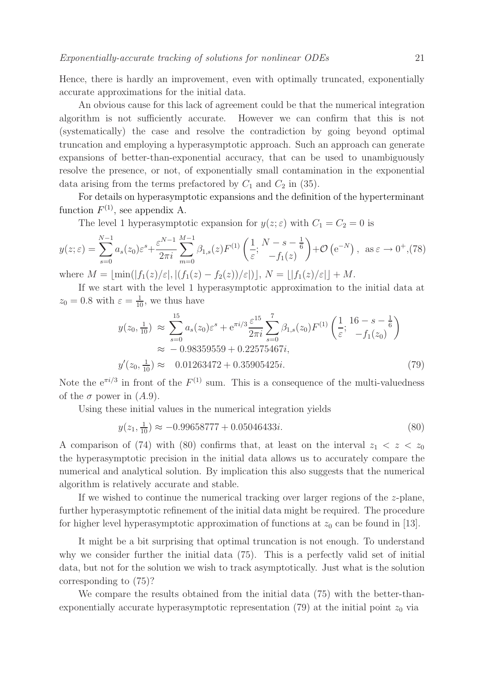Hence, there is hardly an improvement, even with optimally truncated, exponentially accurate approximations for the initial data.

An obvious cause for this lack of agreement could be that the numerical integration algorithm is not sufficiently accurate. However we can confirm that this is not (systematically) the case and resolve the contradiction by going beyond optimal truncation and employing a hyperasymptotic approach. Such an approach can generate expansions of better-than-exponential accuracy, that can be used to unambiguously resolve the presence, or not, of exponentially small contamination in the exponential data arising from the terms prefactored by  $C_1$  and  $C_2$  in (35).

For details on hyperasymptotic expansions and the definition of the hyperterminant function  $F^{(1)}$ , see appendix A.

The level 1 hyperasymptotic expansion for  $y(z;\epsilon)$  with  $C_1 = C_2 = 0$  is

$$
y(z;\varepsilon) = \sum_{s=0}^{N-1} a_s(z_0) \varepsilon^s + \frac{\varepsilon^{N-1}}{2\pi i} \sum_{m=0}^{M-1} \beta_{1,s}(z) F^{(1)}\left(\frac{1}{\varepsilon}; \frac{N-s-\frac{1}{6}}{-f_1(z)}\right) + \mathcal{O}\left(e^{-N}\right), \text{ as } \varepsilon \to 0^+, (78)
$$

where  $M = \min(|f_1(z)/\varepsilon|, |(f_1(z) - f_2(z))/\varepsilon|), N = |f_1(z)/\varepsilon| + M$ .

If we start with the level 1 hyperasymptotic approximation to the initial data at  $z_0 = 0.8$  with  $\varepsilon = \frac{1}{10}$ , we thus have

$$
y(z_0, \frac{1}{10}) \approx \sum_{s=0}^{15} a_s(z_0) \varepsilon^s + e^{\pi i/3} \frac{\varepsilon^{15}}{2\pi i} \sum_{s=0}^7 \beta_{1,s}(z_0) F^{(1)}\left(\frac{1}{\varepsilon}; \frac{16-s-\frac{1}{6}}{-f_1(z_0)}\right)
$$
  

$$
\approx -0.98359559 + 0.22575467i,
$$
  

$$
y'(z_0, \frac{1}{10}) \approx 0.01263472 + 0.35905425i.
$$
 (79)

Note the  $e^{\pi i/3}$  in front of the  $F^{(1)}$  sum. This is a consequence of the multi-valuedness of the  $\sigma$  power in  $(A.9)$ .

Using these initial values in the numerical integration yields

$$
y(z_1, \frac{1}{10}) \approx -0.99658777 + 0.05046433i. \tag{80}
$$

A comparison of (74) with (80) confirms that, at least on the interval  $z_1 < z < z_0$ the hyperasymptotic precision in the initial data allows us to accurately compare the numerical and analytical solution. By implication this also suggests that the numerical algorithm is relatively accurate and stable.

If we wished to continue the numerical tracking over larger regions of the  $z$ -plane, further hyperasymptotic refinement of the initial data might be required. The procedure for higher level hyperasymptotic approximation of functions at  $z_0$  can be found in [13].

It might be a bit surprising that optimal truncation is not enough. To understand why we consider further the initial data (75). This is a perfectly valid set of initial data, but not for the solution we wish to track asymptotically. Just what is the solution corresponding to (75)?

We compare the results obtained from the initial data (75) with the better-thanexponentially accurate hyperasymptotic representation (79) at the initial point  $z_0$  via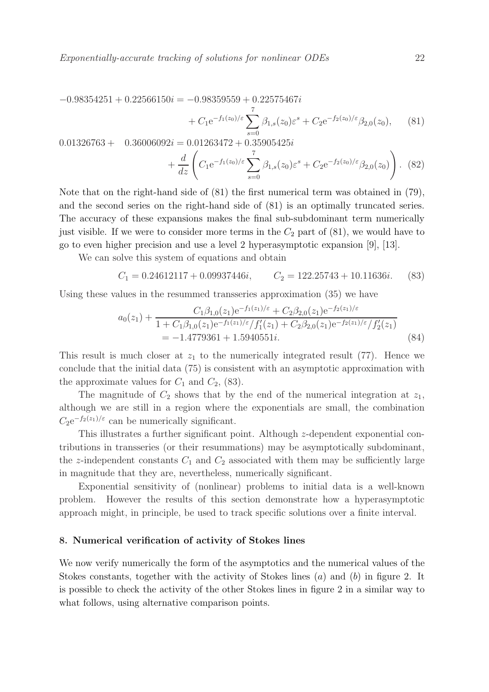$$
-0.98354251 + 0.22566150i = -0.98359559 + 0.22575467i
$$
  
+  $C_1 e^{-f_1(z_0)/\varepsilon} \sum_{s=0}^{7} \beta_{1,s}(z_0) \varepsilon^s + C_2 e^{-f_2(z_0)/\varepsilon} \beta_{2,0}(z_0),$  (81)  
0.01326763 + 0.36006092i = 0.01263472 + 0.35905425i  
+  $\frac{d}{dz} \left( C_1 e^{-f_1(z_0)/\varepsilon} \sum_{s=0}^{7} \beta_{1,s}(z_0) \varepsilon^s + C_2 e^{-f_2(z_0)/\varepsilon} \beta_{2,0}(z_0) \right).$  (82)

Note that on the right-hand side of (81) the first numerical term was obtained in (79), and the second series on the right-hand side of (81) is an optimally truncated series. The accuracy of these expansions makes the final sub-subdominant term numerically just visible. If we were to consider more terms in the  $C_2$  part of  $(81)$ , we would have to go to even higher precision and use a level 2 hyperasymptotic expansion [9], [13].

We can solve this system of equations and obtain

$$
C_1 = 0.24612117 + 0.09937446i, \qquad C_2 = 122.25743 + 10.11636i. \tag{83}
$$

Using these values in the resummed transseries approximation (35) we have

$$
a_0(z_1) + \frac{C_1\beta_{1,0}(z_1)e^{-f_1(z_1)/\varepsilon} + C_2\beta_{2,0}(z_1)e^{-f_2(z_1)/\varepsilon}}{1 + C_1\beta_{1,0}(z_1)e^{-f_1(z_1)/\varepsilon}/f'_1(z_1) + C_2\beta_{2,0}(z_1)e^{-f_2(z_1)/\varepsilon}/f'_2(z_1)}
$$
  
= -1.4779361 + 1.5940551*i*. (84)

This result is much closer at  $z_1$  to the numerically integrated result (77). Hence we conclude that the initial data (75) is consistent with an asymptotic approximation with the approximate values for  $C_1$  and  $C_2$ , (83).

The magnitude of  $C_2$  shows that by the end of the numerical integration at  $z_1$ , although we are still in a region where the exponentials are small, the combination  $C_2e^{-f_2(z_1)/\varepsilon}$  can be numerically significant.

This illustrates a further significant point. Although z-dependent exponential contributions in transseries (or their resummations) may be asymptotically subdominant, the z-independent constants  $C_1$  and  $C_2$  associated with them may be sufficiently large in magnitude that they are, nevertheless, numerically significant.

Exponential sensitivity of (nonlinear) problems to initial data is a well-known problem. However the results of this section demonstrate how a hyperasymptotic approach might, in principle, be used to track specific solutions over a finite interval.

#### 8. Numerical verification of activity of Stokes lines

We now verify numerically the form of the asymptotics and the numerical values of the Stokes constants, together with the activity of Stokes lines (a) and (b) in figure 2. It is possible to check the activity of the other Stokes lines in figure 2 in a similar way to what follows, using alternative comparison points.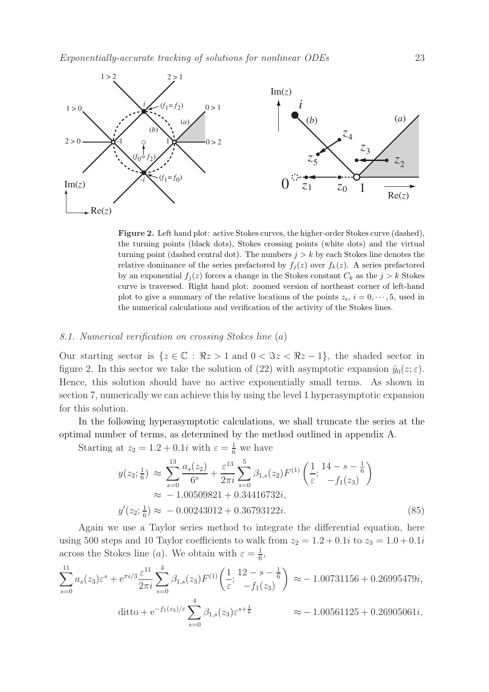

Figure 2. Left hand plot: active Stokes curves, the higher-order Stokes curve (dashed), the turning points (black dots), Stokes crossing points (white dots) and the virtual turning point (dashed central dot). The numbers  $j > k$  by each Stokes line denotes the relative dominance of the series prefactored by  $f_j(z)$  over  $f_k(z)$ . A series prefactored by an exponential  $f_j(z)$  forces a change in the Stokes constant  $C_k$  as the  $j > k$  Stokes curve is traversed. Right hand plot: zoomed version of northeast corner of left-hand plot to give a summary of the relative locations of the points  $z_i$ ,  $i = 0, \dots, 5$ , used in the numerical calculations and verification of the activity of the Stokes lines.

# 8.1. Numerical verification on crossing Stokes line (a)

Our starting sector is  $\{z \in \mathbb{C} : \Re z > 1 \text{ and } 0 < \Im z < \Re z - 1\}$ , the shaded sector in figure 2. In this sector we take the solution of (22) with asymptotic expansion  $\hat{y}_0(z;\varepsilon)$ . Hence, this solution should have no active exponentially small terms. As shown in section 7, numerically we can achieve this by using the level 1 hyperasymptotic expansion for this solution.

In the following hyperasymptotic calculations, we shall truncate the series at the optimal number of terms, as determined by the method outlined in appendix A.

Starting at  $z_2 = 1.2 + 0.1i$  with  $\varepsilon = \frac{1}{6}$  we have

$$
y(z_2; \frac{1}{6}) \approx \sum_{s=0}^{13} \frac{a_s(z_2)}{6^s} + \frac{\varepsilon^{13}}{2\pi i} \sum_{s=0}^{5} \beta_{1,s}(z_2) F^{(1)}\left(\frac{1}{\varepsilon}; \frac{14 - s - \frac{1}{6}}{-f_1(z_3)}\right)
$$
  

$$
\approx -1.00509821 + 0.34416732i,
$$
  

$$
y'(z_2; \frac{1}{6}) \approx -0.00243012 + 0.36793122i.
$$
 (85)

Again we use a Taylor series method to integrate the differential equation, here using 500 steps and 10 Taylor coefficients to walk from  $z_2 = 1.2 + 0.1i$  to  $z_3 = 1.0 + 0.1i$ across the Stokes line (*a*). We obtain with  $\varepsilon = \frac{1}{6}$  $\frac{1}{6}$ ,

$$
\sum_{s=0}^{11} a_s(z_3) \varepsilon^s + e^{\pi i/3} \frac{\varepsilon^{11}}{2\pi i} \sum_{s=0}^4 \beta_{1,s}(z_3) F^{(1)}\left(\frac{1}{\varepsilon}; \frac{12 - s - \frac{1}{6}}{-f_1(z_3)}\right) \approx -1.00731156 + 0.26995479i,
$$
  
\nditto +  $e^{-f_1(z_3)/\varepsilon} \sum_{s=0}^4 \beta_{1,s}(z_3) \varepsilon^{s + \frac{1}{6}} \approx -1.00561125 + 0.26905061i,$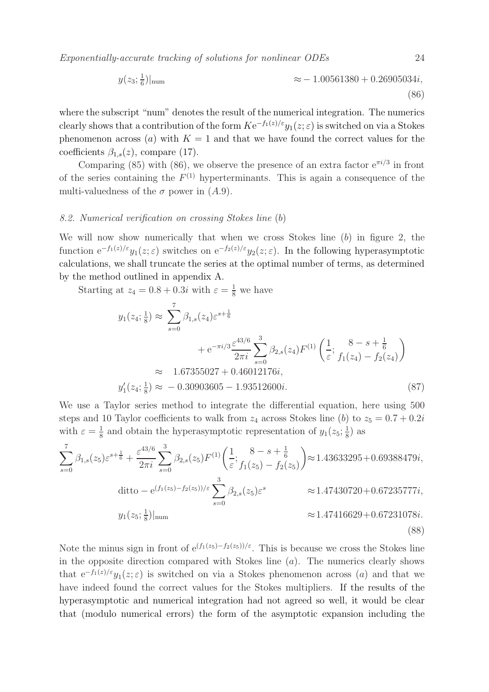Exponentially-accurate tracking of solutions for nonlinear ODEs 24

$$
y(z_3; \frac{1}{6})|_{\text{num}} \approx -1.00561380 + 0.26905034i,
$$
\n(86)

where the subscript "num" denotes the result of the numerical integration. The numerics clearly shows that a contribution of the form  $K e^{-f_1(z)/\varepsilon} y_1(z;\varepsilon)$  is switched on via a Stokes phenomenon across (a) with  $K = 1$  and that we have found the correct values for the coefficients  $\beta_{1,s}(z)$ , compare (17).

Comparing (85) with (86), we observe the presence of an extra factor  $e^{\pi i/3}$  in front of the series containing the  $F^{(1)}$  hyperterminants. This is again a consequence of the multi-valuedness of the  $\sigma$  power in  $(A.9)$ .

#### 8.2. Numerical verification on crossing Stokes line (b)

We will now show numerically that when we cross Stokes line  $(b)$  in figure 2, the function  $e^{-f_1(z)/\varepsilon}y_1(z;\varepsilon)$  switches on  $e^{-f_2(z)/\varepsilon}y_2(z;\varepsilon)$ . In the following hyperasymptotic calculations, we shall truncate the series at the optimal number of terms, as determined by the method outlined in appendix A.

Starting at  $z_4 = 0.8 + 0.3i$  with  $\varepsilon = \frac{1}{8}$  we have

$$
y_1(z_4; \frac{1}{8}) \approx \sum_{s=0}^7 \beta_{1,s}(z_4) \varepsilon^{s+\frac{1}{6}}
$$
  
+  $e^{-\pi i/3} \frac{\varepsilon^{43/6}}{2\pi i} \sum_{s=0}^3 \beta_{2,s}(z_4) F^{(1)}\left(\frac{1}{\varepsilon}; \frac{8-s+\frac{1}{6}}{f_1(z_4) - f_2(z_4)}\right)$   
 $\approx 1.67355027 + 0.46012176i,$   
 $y'_1(z_4; \frac{1}{8}) \approx -0.30903605 - 1.93512600i.$  (87)

We use a Taylor series method to integrate the differential equation, here using 500 steps and 10 Taylor coefficients to walk from  $z_4$  across Stokes line (b) to  $z_5 = 0.7 + 0.2i$ with  $\varepsilon = \frac{1}{8}$  $\frac{1}{8}$  and obtain the hyperasymptotic representation of  $y_1(z_5; \frac{1}{8})$  $(\frac{1}{8})$  as

$$
\sum_{s=0}^{7} \beta_{1,s}(z_5) \varepsilon^{s+\frac{1}{6}} + \frac{\varepsilon^{43/6}}{2\pi i} \sum_{s=0}^{3} \beta_{2,s}(z_5) F^{(1)}\left(\frac{1}{\varepsilon}; \frac{8-s+\frac{1}{6}}{f_1(z_5) - f_2(z_5)}\right) \approx 1.43633295 + 0.69388479i,
$$
  
\nditto – e<sup>(f<sub>1</sub>(z<sub>5</sub>) - f<sub>2</sub>(z<sub>5</sub>))/ $\varepsilon$</sup> 
$$
\sum_{s=0}^{3} \beta_{2,s}(z_5) \varepsilon^s \qquad \approx 1.47430720 + 0.67235777i,
$$
  
\n $\approx 1.47416629 + 0.67231078i.$  (88)

Note the minus sign in front of  $e^{(f_1(z_5)-f_2(z_5))/\epsilon}$ . This is because we cross the Stokes line in the opposite direction compared with Stokes line  $(a)$ . The numerics clearly shows that  $e^{-f_1(z)/\varepsilon}y_1(z;\varepsilon)$  is switched on via a Stokes phenomenon across (a) and that we have indeed found the correct values for the Stokes multipliers. If the results of the hyperasymptotic and numerical integration had not agreed so well, it would be clear that (modulo numerical errors) the form of the asymptotic expansion including the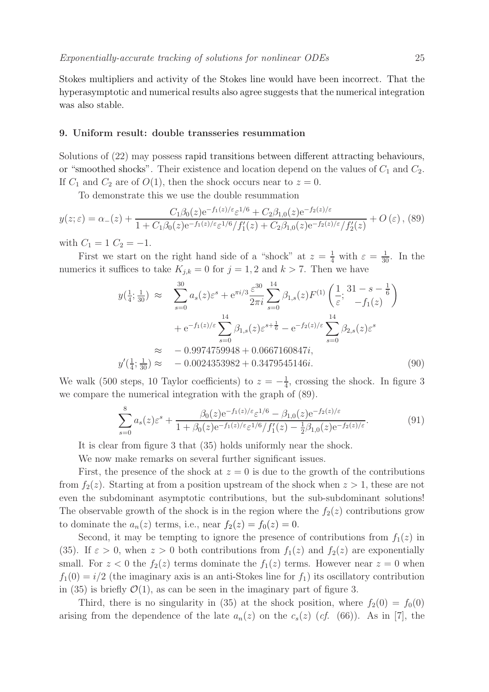Stokes multipliers and activity of the Stokes line would have been incorrect. That the hyperasymptotic and numerical results also agree suggests that the numerical integration was also stable.

#### 9. Uniform result: double transseries resummation

Solutions of (22) may possess rapid transitions between different attracting behaviours, or "smoothed shocks". Their existence and location depend on the values of  $C_1$  and  $C_2$ . If  $C_1$  and  $C_2$  are of  $O(1)$ , then the shock occurs near to  $z = 0$ .

To demonstrate this we use the double resummation

$$
y(z;\varepsilon) = \alpha_{-}(z) + \frac{C_1 \beta_0(z) e^{-f_1(z)/\varepsilon} \varepsilon^{1/6} + C_2 \beta_{1,0}(z) e^{-f_2(z)/\varepsilon}}{1 + C_1 \beta_0(z) e^{-f_1(z)/\varepsilon} \varepsilon^{1/6} / f_1'(z) + C_2 \beta_{1,0}(z) e^{-f_2(z)/\varepsilon} / f_2'(z)} + O(\varepsilon),
$$
(89)

with  $C_1 = 1 \, C_2 = -1$ .

First we start on the right hand side of a "shock" at  $z = \frac{1}{4}$  with  $\varepsilon = \frac{1}{30}$ . In the numerics it suffices to take  $K_{j,k} = 0$  for  $j = 1, 2$  and  $k > 7$ . Then we have

$$
y(\frac{1}{4}; \frac{1}{30}) \approx \sum_{s=0}^{30} a_s(z) \varepsilon^s + e^{\pi i/3} \frac{\varepsilon^{30}}{2\pi i} \sum_{s=0}^{14} \beta_{1,s}(z) F^{(1)}\left(\frac{1}{\varepsilon}; \frac{31-s-\frac{1}{6}}{-f_1(z)}\right)
$$
  
+  $e^{-f_1(z)/\varepsilon} \sum_{s=0}^{14} \beta_{1,s}(z) \varepsilon^{s+\frac{1}{6}} - e^{-f_2(z)/\varepsilon} \sum_{s=0}^{14} \beta_{2,s}(z) \varepsilon^s$   
 $\approx -0.9974759948 + 0.0667160847i,$   
 $y'(\frac{1}{4}; \frac{1}{30}) \approx -0.0024353982 + 0.3479545146i.$  (90)

We walk (500 steps, 10 Taylor coefficients) to  $z = -\frac{1}{4}$  $\frac{1}{4}$ , crossing the shock. In figure 3 we compare the numerical integration with the graph of (89).

$$
\sum_{s=0}^{8} a_s(z) \varepsilon^s + \frac{\beta_0(z) e^{-f_1(z)/\varepsilon} \varepsilon^{1/6} - \beta_{1,0}(z) e^{-f_2(z)/\varepsilon}}{1 + \beta_0(z) e^{-f_1(z)/\varepsilon} \varepsilon^{1/6} / f_1'(z) - \frac{1}{2} \beta_{1,0}(z) e^{-f_2(z)/\varepsilon}}.
$$
(91)

It is clear from figure 3 that (35) holds uniformly near the shock.

We now make remarks on several further significant issues.

First, the presence of the shock at  $z = 0$  is due to the growth of the contributions from  $f_2(z)$ . Starting at from a position upstream of the shock when  $z > 1$ , these are not even the subdominant asymptotic contributions, but the sub-subdominant solutions! The observable growth of the shock is in the region where the  $f_2(z)$  contributions grow to dominate the  $a_n(z)$  terms, i.e., near  $f_2(z) = f_0(z) = 0$ .

Second, it may be tempting to ignore the presence of contributions from  $f_1(z)$  in (35). If  $\varepsilon > 0$ , when  $z > 0$  both contributions from  $f_1(z)$  and  $f_2(z)$  are exponentially small. For  $z < 0$  the  $f_2(z)$  terms dominate the  $f_1(z)$  terms. However near  $z = 0$  when  $f_1(0) = i/2$  (the imaginary axis is an anti-Stokes line for  $f_1$ ) its oscillatory contribution in (35) is briefly  $\mathcal{O}(1)$ , as can be seen in the imaginary part of figure 3.

Third, there is no singularity in (35) at the shock position, where  $f_2(0) = f_0(0)$ arising from the dependence of the late  $a_n(z)$  on the  $c_s(z)$  (cf. (66)). As in [7], the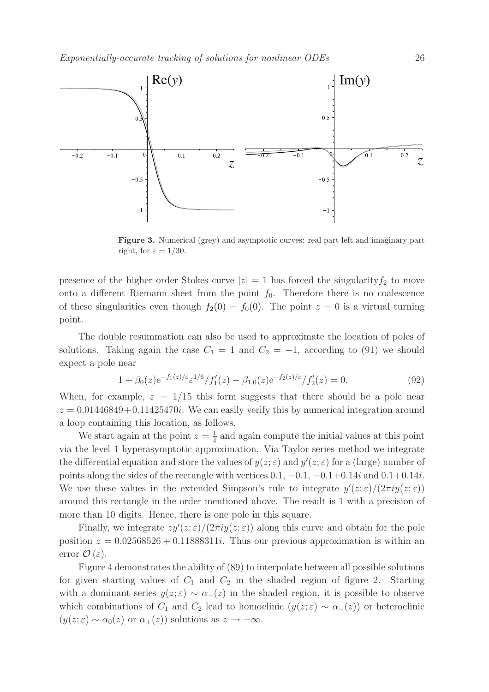

Figure 3. Numerical (grey) and asymptotic curves: real part left and imaginary part right, for  $\varepsilon = 1/30$ .

presence of the higher order Stokes curve  $|z|=1$  has forced the singularity  $f_2$  to move onto a different Riemann sheet from the point  $f_0$ . Therefore there is no coalescence of these singularities even though  $f_2(0) = f_0(0)$ . The point  $z = 0$  is a virtual turning point.

The double resummation can also be used to approximate the location of poles of solutions. Taking again the case  $C_1 = 1$  and  $C_2 = -1$ , according to (91) we should expect a pole near

$$
1 + \beta_0(z) e^{-f_1(z)/\varepsilon} \varepsilon^{1/6} / f_1'(z) - \beta_{1,0}(z) e^{-f_2(z)/\varepsilon} / f_2'(z) = 0.
$$
 (92)

When, for example,  $\varepsilon = 1/15$  this form suggests that there should be a pole near  $z = 0.01446849 + 0.11425470i$ . We can easily verify this by numerical integration around a loop containing this location, as follows.

We start again at the point  $z=\frac{1}{4}$  $\frac{1}{4}$  and again compute the initial values at this point via the level 1 hyperasymptotic approximation. Via Taylor series method we integrate the differential equation and store the values of  $y(z; \varepsilon)$  and  $y'(z; \varepsilon)$  for a (large) number of points along the sides of the rectangle with vertices  $0.1, -0.1, -0.1+0.14i$  and  $0.1+0.14i$ . We use these values in the extended Simpson's rule to integrate  $y'(z;\varepsilon)/(2\pi i y(z;\varepsilon))$ around this rectangle in the order mentioned above. The result is 1 with a precision of more than 10 digits. Hence, there is one pole in this square.

Finally, we integrate  $zy'(z;\varepsilon)/(2\pi iy(z;\varepsilon))$  along this curve and obtain for the pole position  $z = 0.02568526 + 0.11888311i$ . Thus our previous approximation is within an error  $\mathcal{O}(\varepsilon)$ .

Figure 4 demonstrates the ability of (89) to interpolate between all possible solutions for given starting values of  $C_1$  and  $C_2$  in the shaded region of figure 2. Starting with a dominant series  $y(z;\epsilon) \sim \alpha_-(z)$  in the shaded region, it is possible to observe which combinations of  $C_1$  and  $C_2$  lead to homoclinic  $(y(z; \varepsilon) \sim \alpha_-(z))$  or heteroclinic  $(y(z; \varepsilon) \sim \alpha_0(z)$  or  $\alpha_+(z)$ ) solutions as  $z \to -\infty$ .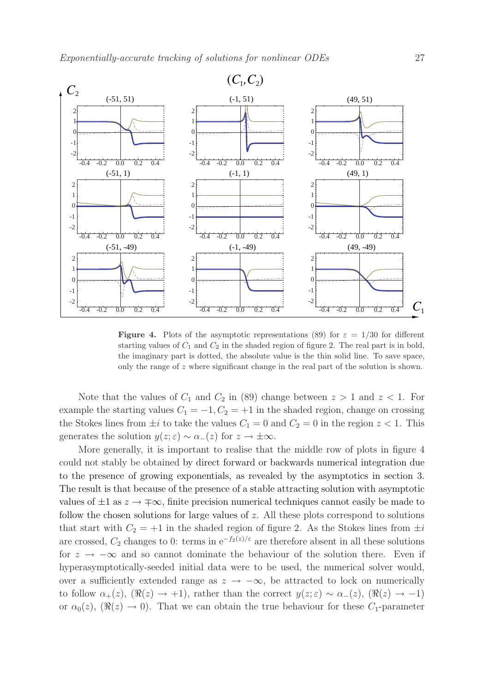

**Figure 4.** Plots of the asymptotic representations (89) for  $\varepsilon = 1/30$  for different starting values of  $C_1$  and  $C_2$  in the shaded region of figure 2. The real part is in bold, the imaginary part is dotted, the absolute value is the thin solid line. To save space, only the range of z where significant change in the real part of the solution is shown.

Note that the values of  $C_1$  and  $C_2$  in (89) change between  $z > 1$  and  $z < 1$ . For example the starting values  $C_1 = -1, C_2 = +1$  in the shaded region, change on crossing the Stokes lines from  $\pm i$  to take the values  $C_1 = 0$  and  $C_2 = 0$  in the region  $z < 1$ . This generates the solution  $y(z; \varepsilon) \sim \alpha_-(z)$  for  $z \to \pm \infty$ .

More generally, it is important to realise that the middle row of plots in figure 4 could not stably be obtained by direct forward or backwards numerical integration due to the presence of growing exponentials, as revealed by the asymptotics in section 3. The result is that because of the presence of a stable attracting solution with asymptotic values of  $\pm 1$  as  $z \to \pm \infty$ , finite precision numerical techniques cannot easily be made to follow the chosen solutions for large values of z. All these plots correspond to solutions that start with  $C_2 = +1$  in the shaded region of figure 2. As the Stokes lines from  $\pm i$ are crossed,  $C_2$  changes to 0: terms in e<sup>-f<sub>2</sub>(z)/ε</sup> are therefore absent in all these solutions for  $z \rightarrow -\infty$  and so cannot dominate the behaviour of the solution there. Even if hyperasymptotically-seeded initial data were to be used, the numerical solver would, over a sufficiently extended range as  $z \to -\infty$ , be attracted to lock on numerically to follow  $\alpha_+(z)$ ,  $(\Re(z) \to +1)$ , rather than the correct  $y(z;\varepsilon) \sim \alpha_-(z)$ ,  $(\Re(z) \to -1)$ or  $\alpha_0(z)$ ,  $(\Re(z) \to 0)$ . That we can obtain the true behaviour for these  $C_1$ -parameter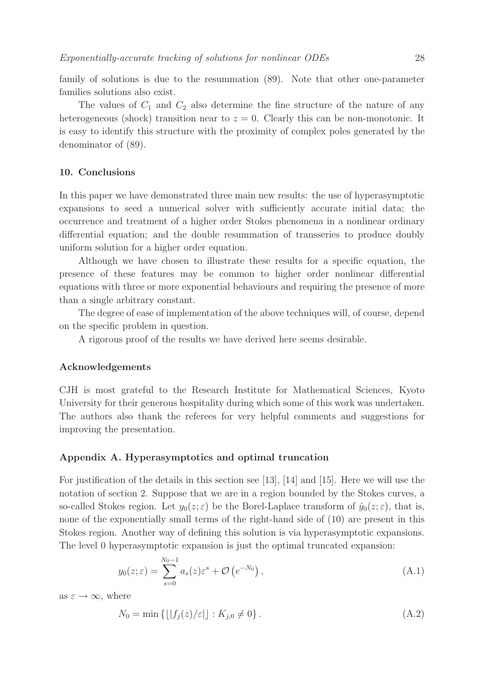family of solutions is due to the resummation (89). Note that other one-parameter families solutions also exist.

The values of  $C_1$  and  $C_2$  also determine the fine structure of the nature of any heterogeneous (shock) transition near to  $z = 0$ . Clearly this can be non-monotonic. It is easy to identify this structure with the proximity of complex poles generated by the denominator of (89).

# 10. Conclusions

In this paper we have demonstrated three main new results: the use of hyperasymptotic expansions to seed a numerical solver with sufficiently accurate initial data; the occurrence and treatment of a higher order Stokes phenomena in a nonlinear ordinary differential equation; and the double resummation of transseries to produce doubly uniform solution for a higher order equation.

Although we have chosen to illustrate these results for a specific equation, the presence of these features may be common to higher order nonlinear differential equations with three or more exponential behaviours and requiring the presence of more than a single arbitrary constant.

The degree of ease of implementation of the above techniques will, of course, depend on the specific problem in question.

A rigorous proof of the results we have derived here seems desirable.

#### Acknowledgements

CJH is most grateful to the Research Institute for Mathematical Sciences, Kyoto University for their generous hospitality during which some of this work was undertaken. The authors also thank the referees for very helpful comments and suggestions for improving the presentation.

# Appendix A. Hyperasymptotics and optimal truncation

For justification of the details in this section see [13], [14] and [15]. Here we will use the notation of section 2. Suppose that we are in a region bounded by the Stokes curves, a so-called Stokes region. Let  $y_0(z;\varepsilon)$  be the Borel-Laplace transform of  $\hat{y}_0(z;\varepsilon)$ , that is, none of the exponentially small terms of the right-hand side of (10) are present in this Stokes region. Another way of defining this solution is via hyperasymptotic expansions. The level 0 hyperasymptotic expansion is just the optimal truncated expansion:

$$
y_0(z;\varepsilon) = \sum_{s=0}^{N_0 - 1} a_s(z) \varepsilon^s + \mathcal{O}\left(e^{-N_0}\right),\tag{A.1}
$$

as  $\varepsilon \to \infty$ , where

$$
N_0 = \min \{ \lfloor |f_j(z)/\varepsilon| \rfloor : K_{j,0} \neq 0 \}.
$$
 (A.2)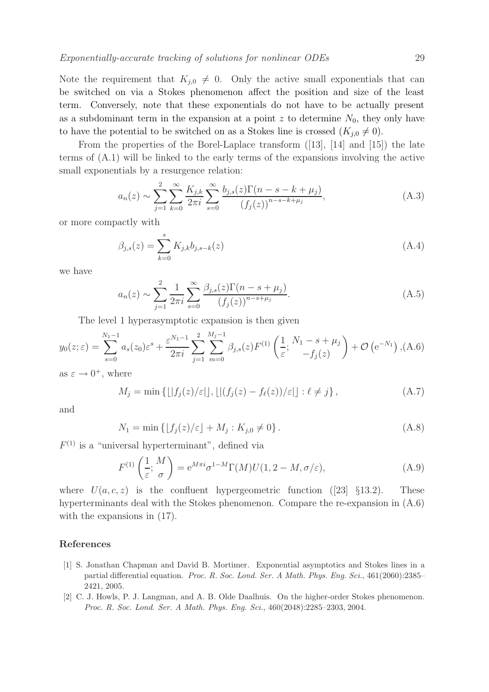Note the requirement that  $K_{i,0} \neq 0$ . Only the active small exponentials that can be switched on via a Stokes phenomenon affect the position and size of the least term. Conversely, note that these exponentials do not have to be actually present as a subdominant term in the expansion at a point z to determine  $N_0$ , they only have to have the potential to be switched on as a Stokes line is crossed  $(K_{i,0} \neq 0)$ .

From the properties of the Borel-Laplace transform  $(13)$ ,  $[14]$  and  $[15]$ ) the late terms of (A.1) will be linked to the early terms of the expansions involving the active small exponentials by a resurgence relation:

$$
a_n(z) \sim \sum_{j=1}^2 \sum_{k=0}^\infty \frac{K_{j,k}}{2\pi i} \sum_{s=0}^\infty \frac{b_{j,s}(z)\Gamma(n-s-k+\mu_j)}{(f_j(z))^{n-s-k+\mu_j}},\tag{A.3}
$$

or more compactly with

$$
\beta_{j,s}(z) = \sum_{k=0}^{s} K_{j,k} b_{j,s-k}(z)
$$
\n(A.4)

we have

$$
a_n(z) \sim \sum_{j=1}^2 \frac{1}{2\pi i} \sum_{s=0}^\infty \frac{\beta_{j,s}(z) \Gamma(n - s + \mu_j)}{(f_j(z))^{n - s + \mu_j}}.
$$
 (A.5)

The level 1 hyperasymptotic expansion is then given

$$
y_0(z;\varepsilon) = \sum_{s=0}^{N_1-1} a_s(z_0)\varepsilon^s + \frac{\varepsilon^{N_1-1}}{2\pi i} \sum_{j=1}^2 \sum_{m=0}^{M_j-1} \beta_{j,s}(z) F^{(1)}\left(\frac{1}{\varepsilon}; \frac{N_1-s+\mu_j}{-f_j(z)}\right) + \mathcal{O}\left(e^{-N_1}\right), (A.6)
$$

as  $\varepsilon \to 0^+,$  where

$$
M_j = \min\left\{ \lfloor |f_j(z)/\varepsilon| \rfloor, \lfloor |(f_j(z) - f_\ell(z))/\varepsilon| \rfloor : \ell \neq j \right\},\tag{A.7}
$$

and

$$
N_1 = \min\{|f_j(z)/\varepsilon| + M_j : K_{j,0} \neq 0\}.
$$
 (A.8)

 $F^{(1)}$  is a "universal hyperterminant", defined via

$$
F^{(1)}\left(\frac{1}{\varepsilon};\frac{M}{\sigma}\right) = e^{M\pi i} \sigma^{1-M} \Gamma(M) U(1, 2 - M, \sigma/\varepsilon), \tag{A.9}
$$

where  $U(a, c, z)$  is the confluent hypergeometric function ([23] §13.2). These hyperterminants deal with the Stokes phenomenon. Compare the re-expansion in (A.6) with the expansions in  $(17)$ .

#### References

- [1] S. Jonathan Chapman and David B. Mortimer. Exponential asymptotics and Stokes lines in a partial differential equation. Proc. R. Soc. Lond. Ser. A Math. Phys. Eng. Sci., 461(2060):2385– 2421, 2005.
- [2] C. J. Howls, P. J. Langman, and A. B. Olde Daalhuis. On the higher-order Stokes phenomenon. Proc. R. Soc. Lond. Ser. A Math. Phys. Eng. Sci., 460(2048):2285–2303, 2004.